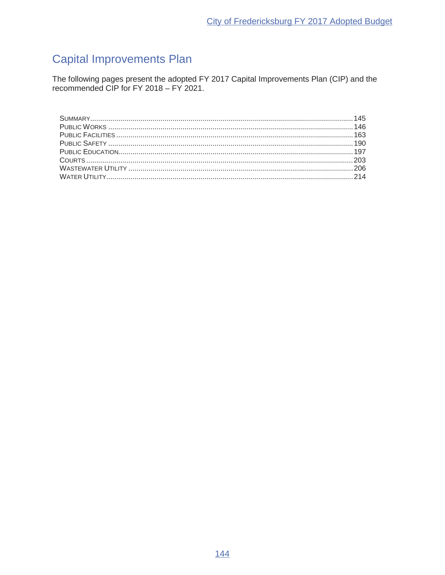# **Capital Improvements Plan**

The following pages present the adopted FY 2017 Capital Improvements Plan (CIP) and the recommended CIP for FY 2018 – FY 2021.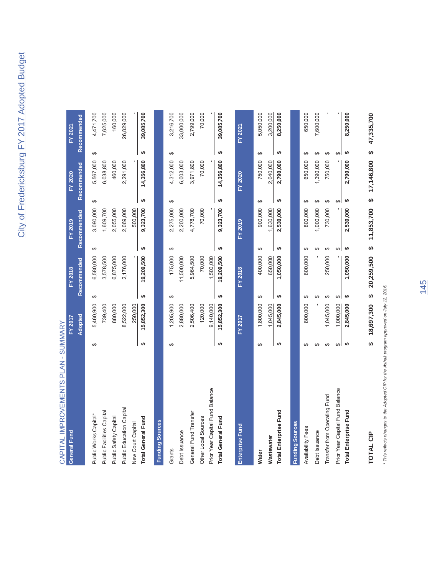| CAPITAL IMPROVEMENTS PLAN - SUMMARY |    |            |          |             |    |             |          |             |          |             |
|-------------------------------------|----|------------|----------|-------------|----|-------------|----------|-------------|----------|-------------|
| General Fund                        |    | FY 2017    |          | FY 2018     |    | FY 2019     |          | FY 2020     |          | FY 2021     |
|                                     |    | Adopted    |          | Recommended |    | Recommended |          | Recommended |          | Recommended |
| Public Works Capital*               | ക  | 5,460,900  | ↮        | 6,580,000   | ↮  | 3,090,000   | ↔        | 5,567,000   | $\theta$ | 4,471,700   |
| Public Facilities Capital           |    | 739,400    |          | 3,578,500   |    | 1,609,700   |          | 6,038,800   |          | 7,625,000   |
| Public Safety Capital               |    | 880,000    |          | 6,875,000   |    | 2,055,000   |          | 460,000     |          | 160,000     |
| Public Education Capital            |    | 8,522,000  |          | 2,176,000   |    | 2,069,000   |          | 2,291,000   |          | 26,829,000  |
| New Court Capital                   |    | 250,000    |          |             |    | 500,000     |          |             |          |             |
| <b>Total General Fund</b>           | မာ | 15,852,300 | ↮        | 19,209,500  | ↮  | 9,323,700   | ↮        | 14,356,800  | ↮        | 39,085,700  |
| <b>Funding Sources</b>              |    |            |          |             |    |             |          |             |          |             |
| Grants                              | ↔  | 1,205,900  | ↔        | 175,000     | ↔  | 2,275,000   | ↮        | 4,312,000   | ↔        | 3,216,700   |
| Debt Issuance                       |    | 2,880,000  |          | 11,500,000  |    | 2,200,000   |          | 6,003,000   |          | 33,000,000  |
| General Fund Transfer               |    | 2,506,400  |          | 5,964,500   |    | 4,778,700   |          | 3,971,800   |          | 2,799,000   |
| Other Local Sources                 |    | 120,000    |          | 70,000      |    | 70,000      |          | 70,000      |          | 70,000      |
| Prior Year Capital Fund Balance     |    | 9,140,000  |          | 1,500,000   |    |             |          |             |          |             |
| <b>Total General Fund</b>           | ↮  | 15,852,300 | ↮        | 19,209,500  | ↮  | 9,323,700   | ↮        | 14,356,800  | ↮        | 39,085,700  |
| <b>Enterprise Fund</b>              |    | FY 2017    |          | FY 2018     |    | FY 2019     |          | FY 2020     |          | FY 2021     |
| <b>Water</b>                        | ↮  | 1,800,000  | ↔        | 400,000     | ക  | 900,000     | ക        | 750,000     | ↮        | 5,050,000   |
| Wastewater                          |    | 1,045,000  |          | 650,000     |    | 1,630,000   |          | 2,040,000   |          | 3,200,000   |
| <b>Total Enterprise Fund</b>        | ↮  | 2,845,000  | မာ       | 1,050,000   | ↮  | 2,530,000   | ↮        | 2,790,000   | ↮        | 8,250,000   |
| <b>Funding Sources</b>              |    |            |          |             |    |             |          |             |          |             |
| Availability Fees                   | ĠΘ | 800,000    | ↔        | 800,000     | ↮  | 800,000     | ↮        | 650,000     | ↮        | 650,000     |
| Debt Issuance                       | ĠΘ |            | ఱ        |             | ↮  | 1,000,000   | ↮        | 1,390,000   | ↮        | 7,600,000   |
| Transfer from Operating Fund        | ↔  | 1,045,000  | ↮        | 250,000     | ↔  | 730,000     | ↮        | 750,000     | ↮        |             |
| Prior Year Capital Fund Balance     | ↮  | 1,000,000  | $\theta$ |             | ↮  |             | $\Theta$ |             | $\Theta$ |             |
| <b>Total Enterprise Fund</b>        |    | 2,845,000  |          | 1,050,000   | မာ | 2,530,000   | ↮        | 2,790,000   |          | 8,250,000   |

\* This reflects changes to the Adopted CIP for the Ashalt program approved on July 12, 2016. *\* This reflects changes to the Adopted CIP for the Ashalt program approved on July 12, 2016.*

**TOTAL CIP** 

**TOTAL CIP 18,697,300 \$ 20,259,500 \$ 11,853,700 \$ 17,146,800 \$ 47,335,700 \$**

\$ 18,697,300 \$ 20,259,500 \$ 11,853,700 \$ 17,146,800 \$ 47,335,700

145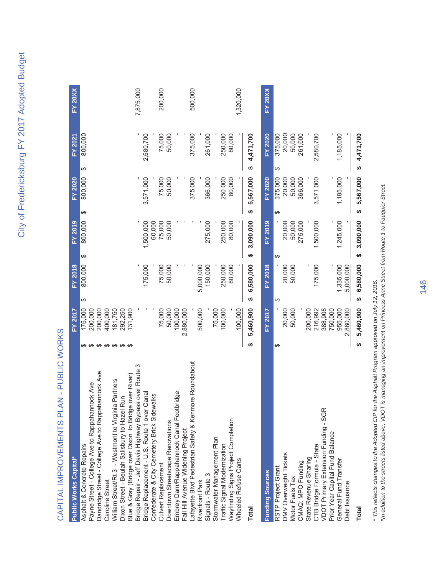# CAPITAL IMPROVEMENTS PLAN - PUBLIC WORKS CAPITAL IMPROVEMENTS PLAN - PUBLIC WORKS

| <b>Public Works Capital*</b>                           |                       | <b>FY 2017</b> |                 | FY 2018        | FY 2019         |    | <b>FY 2020</b> | FY 2021      | <b>FY 20XX</b> |
|--------------------------------------------------------|-----------------------|----------------|-----------------|----------------|-----------------|----|----------------|--------------|----------------|
| Asphalt & Concrete Repairs                             |                       | 175,000        | ക               | 800,000        | 800,000<br>↮    | ↮  | 800,000        | 800,000<br>ക |                |
| Payne Street - College Ave to Rappahannock Ave         | ↮                     | 200,000        |                 |                |                 |    |                |              |                |
| Dandridge Street - College Ave to Rappahannock Ave     |                       | 200,000        |                 |                |                 |    |                |              |                |
| Caroline Street                                        | <b>09 09 09 09 09</b> | 400,000        |                 |                |                 |    |                |              |                |
| William Street/Rt 3 - Westmont to Virginia Partners    |                       | 81,750         |                 |                |                 |    |                |              |                |
| Dixon Street - Beulah Salisbury to Hazel Run           |                       | 292,250        |                 |                |                 |    |                |              |                |
| Blue & Gray (Bridge over Dixon to Bridge over River)   |                       | 131,900        |                 |                |                 |    |                |              |                |
| Bridge Repair - Jeff Davis Highway Bypass over Route 3 |                       |                |                 |                |                 |    |                |              | 7,875,000      |
| Bridge Replacement - U.S. Route 1 over Canal           |                       |                |                 | 175,000        | 1,500,000       |    | 3,571,000      | 2,580,700    |                |
| Confederate & City Cemetery Brick Sidewalks            |                       |                |                 |                | 60,000          |    |                |              |                |
| Culvert Replacement                                    |                       | 75,000         |                 | 75,000         | 75,000          |    | 75,000         | 75,000       | 200,000        |
| Downtown Streetscape Renovations                       |                       | 50,000         |                 | 50,000         | 50,000          |    | 50,000         | 50,000       |                |
| Embrey Dam/Rappahannock Canal Footbridge               |                       | 100,000        |                 |                |                 |    |                |              |                |
| Fall Hill Avenue Widening Project                      |                       | 2,880,000      |                 |                |                 |    |                |              |                |
| Lafayette Blvd Pedestrian Safety & Kenmore Roundabout  |                       |                |                 |                |                 |    | 375,000        | 375,000      | 500,000        |
| Riverfront Park                                        |                       | 500,000        |                 | 5,000,000      |                 |    |                |              |                |
| Signals - Route 3                                      |                       |                |                 | 150,000        | 275,000         |    | 366,000        | 261,000      |                |
| Stormwater Management Plan                             |                       | 75,000         |                 |                |                 |    |                |              |                |
| Traffic Signal Modernization                           |                       | 100,000        |                 | 250,000        | 250,000         |    | 250,000        | 250,000      |                |
| Wayfinding Signs Project Completion                    |                       |                |                 | 80,000         | 80,000          |    | 80,000         | 80,000       |                |
| Wheeled Refuse Carts                                   |                       | 100,000        |                 |                |                 |    |                |              | 1,320,000      |
|                                                        |                       |                |                 |                |                 |    |                |              |                |
| <b>Total</b>                                           | ↮                     | 5,460,900      | မာ              | 6,580,000      | 3,090,000<br>မာ | မာ | 5,567,000      | \$4,471,700  |                |
| <b>Funding Sources</b>                                 |                       | <b>FY 2017</b> |                 | <b>FY 2018</b> | <b>FY 2019</b>  |    | FY 2020        | FY 2020      | <b>FY 20XX</b> |
| RSTP Project Grant                                     | ക                     |                | ↮               |                | ↮               | ↮  | 375,000        | 375,000<br>ക |                |
| DMV Overweight Tickets                                 |                       | 20,000         |                 | 20,000         | 20,000          |    | 20,000         | 20,000       |                |
| Motor Fuels Tax                                        |                       | 50,000         |                 | 50,000         | 50,000          |    | 50,000         | 50,000       |                |
| CMAQ: MPO Funding                                      |                       |                |                 |                | 275,000         |    | 366,000        | 261,000      |                |
| State Revenue Sharing                                  |                       | 200,000        |                 |                |                 |    |                |              |                |
| CTB Bridge Formula - State                             |                       | 216,992        |                 | 175,000        | 1,500,000       |    | 3,571,000      | 2,580,700    |                |
| VDOT Primary Extension Funding - SGR                   |                       | 388,908        |                 |                |                 |    |                |              |                |
| Prior Year Capital Fund Balance                        |                       | 750,000        |                 |                |                 |    |                |              |                |
| General Fund Transfer                                  |                       | 955,000        |                 | 1,335,000      | 1,245,000       |    | 1,185,000      | 1,185,000    |                |
| Debt Issuance                                          |                       | 2,880,000      |                 | 5,000,000      |                 |    |                |              |                |
| <b>Total</b>                                           | မာ                    | 5,460,900      | 6,580,000<br>မာ |                | 3,090,000<br>↔  | မာ | 5,567,000      | \$4,471,700  |                |

*\* This reflects changes to the Adopted CIP for the Asphalt Program approved on July 12, 2016.*

\* This reflects changes to the Adopted CIP for the Asphalt Program approved on July 12, 2016.<br>\*In addition to the streets listed above, VDOT is managing an improvement on Princess Anne Street from Route 1 to Fauquier Stree *\*In addition to the streets listed above, VDOT is managing an improvement on Princess Anne Street from Route 1 to Fauquier Street.*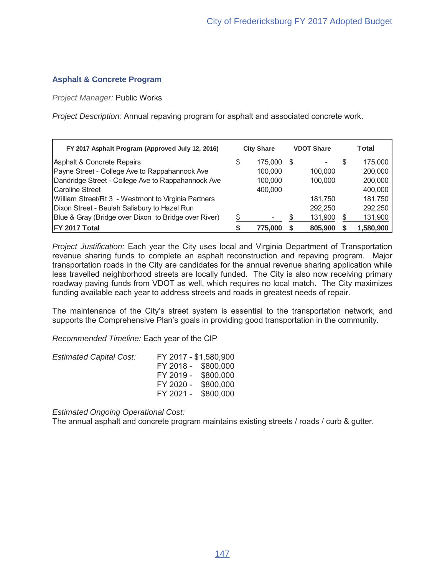# **Asphalt & Concrete Program**

*Project Manager:* Public Works

*Project Description:* Annual repaving program for asphalt and associated concrete work.

| FY 2017 Asphalt Program (Approved July 12, 2016)     |   | <b>City Share</b> |    | <b>VDOT Share</b> |    | Total     |
|------------------------------------------------------|---|-------------------|----|-------------------|----|-----------|
| Asphalt & Concrete Repairs                           | S | 175,000           | S  |                   | S  | 175,000   |
| Payne Street - College Ave to Rappahannock Ave       |   | 100,000           |    | 100,000           |    | 200,000   |
| Dandridge Street - College Ave to Rappahannock Ave   |   | 100.000           |    | 100,000           |    | 200,000   |
| Caroline Street                                      |   | 400,000           |    |                   |    | 400,000   |
| William Street/Rt 3 - Westmont to Virginia Partners  |   |                   |    | 181.750           |    | 181,750   |
| Dixon Street - Beulah Salisbury to Hazel Run         |   |                   |    | 292.250           |    | 292,250   |
| Blue & Gray (Bridge over Dixon to Bridge over River) | S | -                 | \$ | 131,900           | \$ | 131,900   |
| FY 2017 Total                                        |   | 775.000           |    | 805.900           |    | 1,580,900 |

*Project Justification:* Each year the City uses local and Virginia Department of Transportation revenue sharing funds to complete an asphalt reconstruction and repaving program. Major transportation roads in the City are candidates for the annual revenue sharing application while less travelled neighborhood streets are locally funded. The City is also now receiving primary roadway paving funds from VDOT as well, which requires no local match. The City maximizes funding available each year to address streets and roads in greatest needs of repair.

The maintenance of the City's street system is essential to the transportation network, and supports the Comprehensive Plan's goals in providing good transportation in the community.

*Recommended Timeline:* Each year of the CIP

| <b>Estimated Capital Cost:</b> | FY 2017 - \$1,580,900 |  |
|--------------------------------|-----------------------|--|
|                                | FY 2018 - \$800,000   |  |
|                                | FY 2019 - \$800,000   |  |
|                                | FY 2020 - \$800,000   |  |
|                                | FY 2021 - \$800,000   |  |

*Estimated Ongoing Operational Cost:*

The annual asphalt and concrete program maintains existing streets / roads / curb & gutter.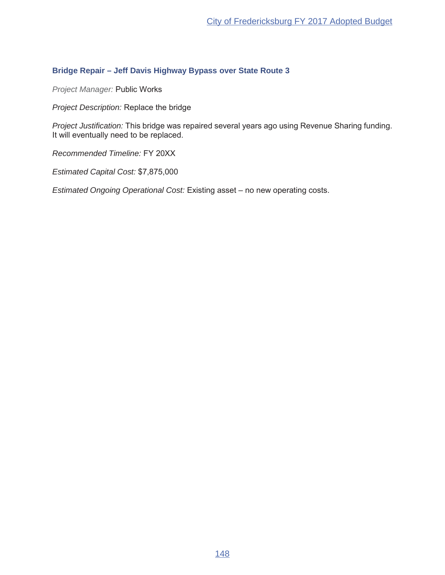# **Bridge Repair – Jeff Davis Highway Bypass over State Route 3**

*Project Manager:* Public Works

*Project Description:* Replace the bridge

*Project Justification:* This bridge was repaired several years ago using Revenue Sharing funding. It will eventually need to be replaced.

**Recommended Timeline: FY 20XX** 

*Estimated Capital Cost:*

*Estimated Ongoing Operational Cost:* Existing asset - no new operating costs.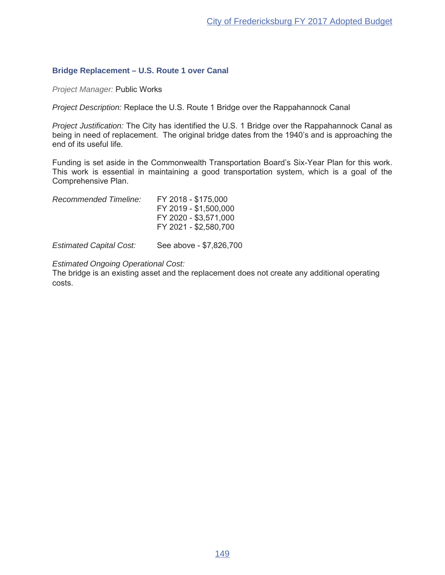# **Bridge Replacement – U.S. Route 1 over Canal**

*Project Manager:* Public Works

*Project Description:* Replace the U.S. Route 1 Bridge over the Rappahannock Canal

*Project Justification:* The City has identified the U.S. 1 Bridge over the Rappahannock Canal as being in need of replacement. The original bridge dates from the 1940's and is approaching the end of its useful life.

Funding is set aside in the Commonwealth Transportation Board's Six-Year Plan for this work. This work is essential in maintaining a good transportation system, which is a goal of the Comprehensive Plan.

| Recommended Timeline: | FY 2018 - \$175,000   |
|-----------------------|-----------------------|
|                       | FY 2019 - \$1,500,000 |
|                       | FY 2020 - \$3,571,000 |
|                       | FY 2021 - \$2,580,700 |
|                       |                       |

*Estimated Capital Cost:* See above - \$7,826,700

*Estimated Ongoing Operational Cost:*

The bridge is an existing asset and the replacement does not create any additional operating costs.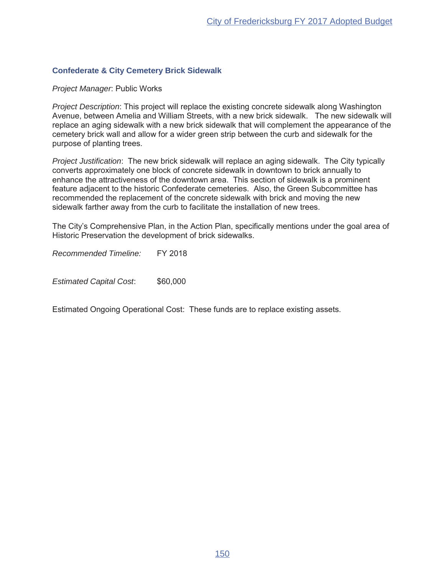# **Confederate & City Cemetery Brick Sidewalk**

**Project Manager: Public Works** 

*Project Description*: This project will replace the existing concrete sidewalk along Washington Avenue, between Amelia and William Streets, with a new brick sidewalk. The new sidewalk will replace an aging sidewalk with a new brick sidewalk that will complement the appearance of the cemetery brick wall and allow for a wider green strip between the curb and sidewalk for the purpose of planting trees.

*Project Justification*: The new brick sidewalk will replace an aging sidewalk. The City typically converts approximately one block of concrete sidewalk in downtown to brick annually to enhance the attractiveness of the downtown area. This section of sidewalk is a prominent feature adjacent to the historic Confederate cemeteries. Also, the Green Subcommittee has recommended the replacement of the concrete sidewalk with brick and moving the new sidewalk farther away from the curb to facilitate the installation of new trees.

The City's Comprehensive Plan, in the Action Plan, specifically mentions under the goal area of Historic Preservation the development of brick sidewalks.

*Recommended Timeline:* FY 2018

*Estimated Capital Cost*

Estimated Ongoing Operational Cost: These funds are to replace existing assets.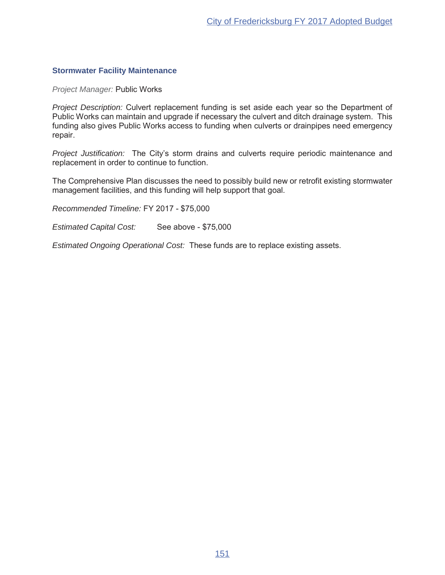# **Stormwater Facility Maintenance**

*Project Manager:* Public Works

*Project Description:* Culvert replacement funding is set aside each year so the Department of Public Works can maintain and upgrade if necessary the culvert and ditch drainage system. This funding also gives Public Works access to funding when culverts or drainpipes need emergency repair.

*Project Justification:* The City's storm drains and culverts require periodic maintenance and replacement in order to continue to function.

The Comprehensive Plan discusses the need to possibly build new or retrofit existing stormwater management facilities, and this funding will help support that goal.

Recommended Timeline: FY 2017 - \$75,000

*Estimated Capital Cost:* See above - \$75,000

*Estimated Ongoing Operational Cost:* These funds are to replace existing assets.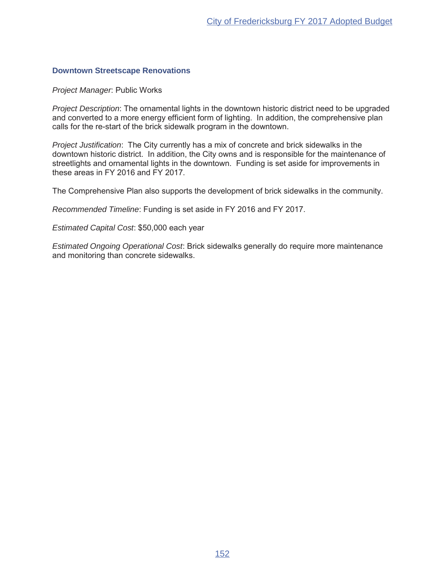### **Downtown Streetscape Renovations**

**Project Manager: Public Works** 

*Project Description*: The ornamental lights in the downtown historic district need to be upgraded and converted to a more energy efficient form of lighting. In addition, the comprehensive plan calls for the re-start of the brick sidewalk program in the downtown.

*Project Justification*: The City currently has a mix of concrete and brick sidewalks in the downtown historic district. In addition, the City owns and is responsible for the maintenance of streetlights and ornamental lights in the downtown. Funding is set aside for improvements in these areas in FY 2016 and  $\overline{Y}Y$  2017.

The Comprehensive Plan also supports the development of brick sidewalks in the community.

*Recommended Timeline*: Funding is set aside in FY 2016 and FY 2017.

*Estimated Capital Cost*: \$50,000 each year

*Estimated Ongoing Operational Cost*: Brick sidewalks generally do require more maintenance and monitoring than concrete sidewalks.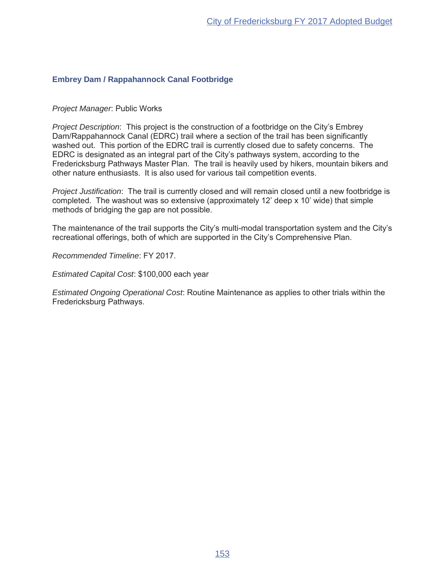# **Embrey Dam / Rappahannock Canal Footbridge**

### **Project Manager: Public Works**

*Project Description*: This project is the construction of a footbridge on the City's Embrey Dam/Rappahannock Canal (EDRC) trail where a section of the trail has been significantly washed out. This portion of the EDRC trail is currently closed due to safety concerns. The EDRC is designated as an integral part of the City's pathways system, according to the Fredericksburg Pathways Master Plan. The trail is heavily used by hikers, mountain bikers and other nature enthusiasts. It is also used for various tail competition events.

*Project Justification*: The trail is currently closed and will remain closed until a new footbridge is completed. The washout was so extensive (approximately 12' deep x 10' wide) that simple methods of bridging the gap are not possible.

The maintenance of the trail supports the City's multi-modal transportation system and the City's recreational offerings, both of which are supported in the City's Comprehensive Plan.

**Recommended Timeline: FY 2017.** 

*Estimated Capital Cost*: \$100,000 each year

*Estimated Ongoing Operational Cost*: Routine Maintenance as applies to other trials within the Fredericksburg Pathways.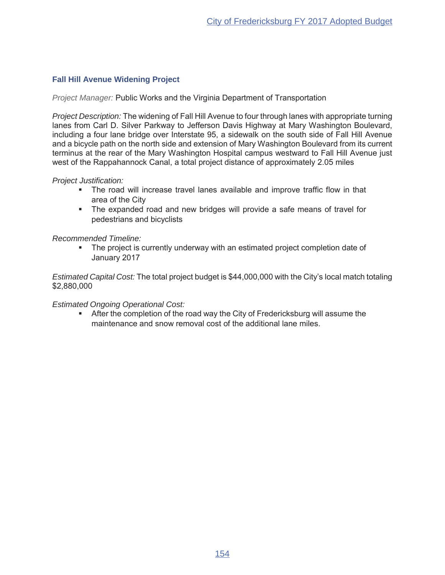# **Fall Hill Avenue Widening Project**

*Project Manager:* Public Works and the Virginia Department of Transportation

*Project Description:* The widening of Fall Hill Avenue to four through lanes with appropriate turning lanes from Carl D. Silver Parkway to Jefferson Davis Highway at Mary Washington Boulevard, including a four lane bridge over Interstate 95, a sidewalk on the south side of Fall Hill Avenue and a bicycle path on the north side and extension of Mary Washington Boulevard from its current terminus at the rear of the Mary Washington Hospital campus westward to Fall Hill Avenue just west of the Rappahannock Canal, a total project distance of approximately 2.05 miles

# *Project Justification:*

- The road will increase travel lanes available and improve traffic flow in that area of the City
- The expanded road and new bridges will provide a safe means of travel for pedestrians and bicyclists

*Recommended Timeline:*

• The project is currently underway with an estimated project completion date of January 2017

*Estimated Capital Cost:* The total project budget is \$44,000,000 with the City's local match totaling \$2,880,000

# *Estimated Ongoing Operational Cost:*

**EXTERPERIM INTEGRIAT SIGN META IMPLE THE COMMUNIST SOMETHERPT ASSET** After the completion of the road way the City of Fredericksburg will assume the maintenance and snow removal cost of the additional lane miles.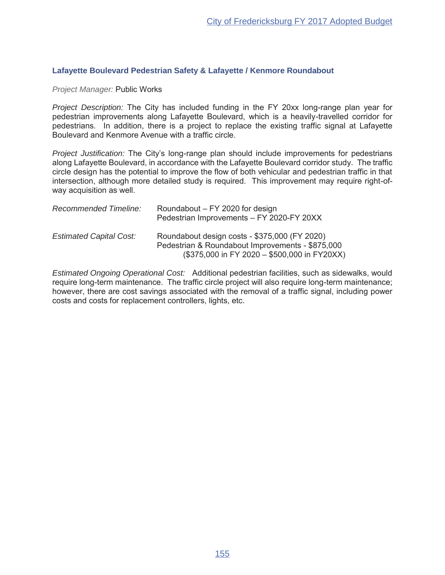### **Lafayette Boulevard Pedestrian Safety & Lafayette / Kenmore Roundabout**

### **Project Manager: Public Works**

*Project Description:* The City has included funding in the FY 20xx long-range plan year for pedestrian improvements along Lafayette Boulevard, which is a heavily-travelled corridor for pedestrians. In addition, there is a project to replace the existing traffic signal at Lafayette Boulevard and Kenmore Avenue with a traffic circle.

*Project Justification:* The City's long-range plan should include improvements for pedestrians along Lafayette Boulevard, in accordance with the Lafayette Boulevard corridor study. The traffic circle design has the potential to improve the flow of both vehicular and pedestrian traffic in that intersection, although more detailed study is required. This improvement may require right-ofway acquisition as well.

| <b>Recommended Timeline:</b>   | Roundabout – FY 2020 for design<br>Pedestrian Improvements - FY 2020-FY 20XX                                                                       |
|--------------------------------|----------------------------------------------------------------------------------------------------------------------------------------------------|
| <b>Estimated Capital Cost:</b> | Roundabout design costs - \$375,000 (FY 2020)<br>Pedestrian & Roundabout Improvements - \$875,000<br>$($375,000$ in FY 2020 - \$500,000 in FY20XX) |

*Estimated Ongoing Operational Cost:* Additional pedestrian facilities, such as sidewalks, would require long-term maintenance. The traffic circle project will also require long-term maintenance; however, there are cost savings associated with the removal of a traffic signal, including power costs and costs for replacement controllers, lights, etc.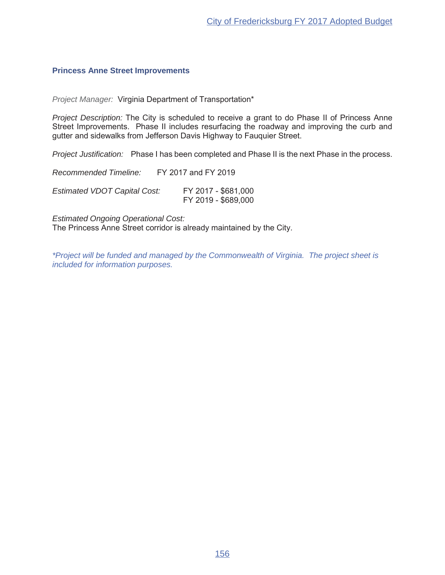### **Princess Anne Street Improvements**

*Project Manager:* Virginia Department of Transportation\*

*Project Description:* The City is scheduled to receive a grant to do Phase II of Princess Anne Street Improvements. Phase II includes resurfacing the roadway and improving the curb and gutter and sidewalks from Jefferson Davis Highway to Fauquier Street.

*Project Justification:* Phase I has been completed and Phase II is the next Phase in the process.

*Recommended Timeline:* FY 2017 and FY 2019

Estimated VDOT Capital Cost: FY 2017 - \$681,000 FY 2019 - \$689,000

*Estimated Ongoing Operational Cost:* The Princess Anne Street corridor is already maintained by the City.

*\*Project will be funded and managed by the Commonwealth of Virginia. The project sheet is included for information purposes.*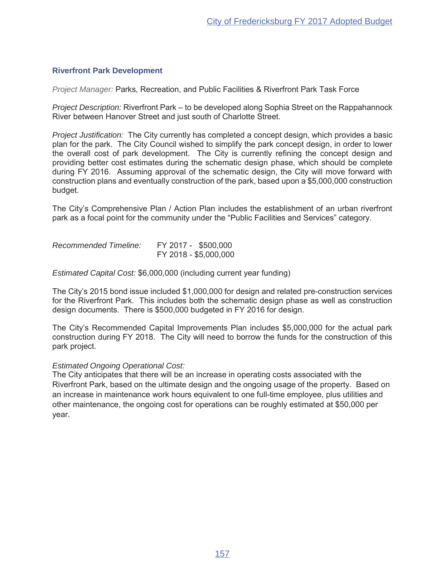# **Riverfront Park Development**

*Project Manager:* Parks, Recreation, and Public Facilities & Riverfront Park Task Force

*Project Description:* Riverfront Park – to be developed along Sophia Street on the Rappahannock River between Hanover Street and just south of Charlotte Street.

*Project Justification:* The City currently has completed a concept design, which provides a basic plan for the park. The City Council wished to simplify the park concept design, in order to lower the overall cost of park development. The City is currently refining the concept design and providing better cost estimates during the schematic design phase, which should be complete during FY 2016. Assuming approval of the schematic design, the City will move forward with construction plans and eventually construction of the park, based upon a  $$5,000,000$  construction budget.

The City's Comprehensive Plan / Action Plan includes the establishment of an urban riverfront park as a focal point for the community under the "Public Facilities and Services" category.

Recommended Timeline: FY 2017 - \$500,000 FY 2018 - \$5,000,000

*Estimated Capital Cost:* \$6,000,000 (including current year funding)

The City's 2015 bond issue included  $$1,000,000$  for design and related pre-construction services for the Riverfront Park. This includes both the schematic design phase as well as construction design documents. There is \$500,000 budgeted in FY 2016 for design.

The City's Recommended Capital Improvements Plan includes \$5,000,000 for the actual park construction during FY 2018. The City will need to borrow the funds for the construction of this park project.

# *Estimated Ongoing Operational Cost:*

The City anticipates that there will be an increase in operating costs associated with the Riverfront Park, based on the ultimate design and the ongoing usage of the property. Based on an increase in maintenance work hours equivalent to one full-time employee, plus utilities and other maintenance, the ongoing cost for operations can be roughly estimated at \$50,000 per year.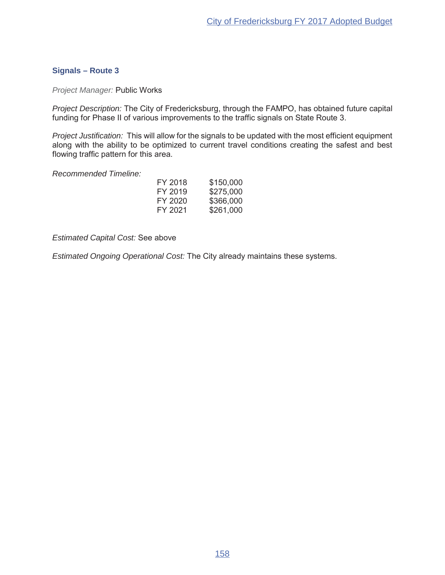# **Signals – Route 3**

*Project Manager:* Public Works

*Project Description:* The City of Fredericksburg, through the FAMPO, has obtained future capital funding for Phase II of various improvements to the traffic signals on State Route 3.

*Project Justification:* This will allow for the signals to be updated with the most efficient equipment along with the ability to be optimized to current travel conditions creating the safest and best flowing traffic pattern for this area.

*Recommended Timeline:*

| FY 2018 | \$150,000 |
|---------|-----------|
| FY 2019 | \$275,000 |
| FY 2020 | \$366,000 |
| FY 2021 | \$261,000 |

*Estimated Capital Cost: See above* 

*Estimated Ongoing Operational Cost:* The City already maintains these systems.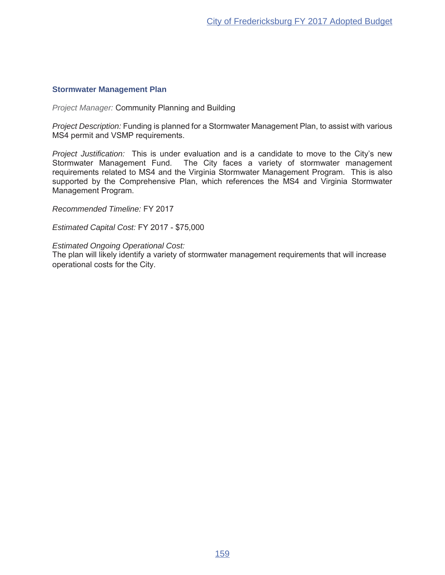# **Stormwater Management Plan**

*Project Manager:* Community Planning and Building

*Project Description:* Funding is planned for a Stormwater Management Plan, to assist with various MS4 permit and VSMP requirements.

*Project Justification:* This is under evaluation and is a candidate to move to the City's new Stormwater Management Fund. The City faces a variety of stormwater management requirements related to MS4 and the Virginia Stormwater Management Program. This is also supported by the Comprehensive Plan, which references the MS4 and Virginia Stormwater Management Program.

**Recommended Timeline: FY 2017** 

**Estimated Capital Cost: FY 2017 - \$75,000** 

*Estimated Ongoing Operational Cost:*

The plan will likely identify a variety of stormwater management requirements that will increase operational costs for the City.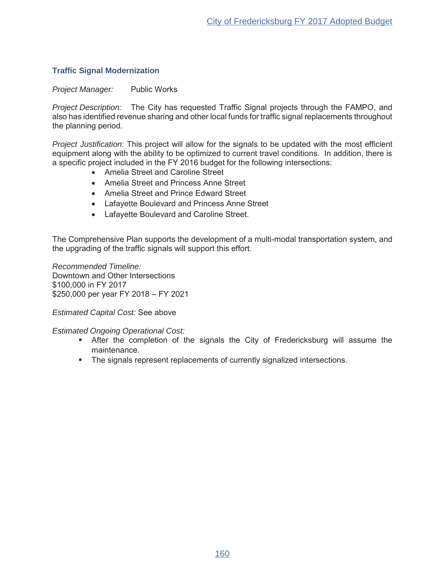# **Traffic Signal Modernization**

# *Project Manager:* Public Works

*Project Description:* The City has requested Traffic Signal projects through the FAMPO, and also has identified revenue sharing and other local funds for traffic signal replacements throughout the planning period.

*Project Justification:* This project will allow for the signals to be updated with the most efficient equipment along with the ability to be optimized to current travel conditions. In addition, there is a specific project included in the FY 2016 budget for the following intersections:

- Amelia Street and Caroline Street
- Amelia Street and Princess Anne Street
- Amelia Street and Prince Edward Street
- Lafayette Boulevard and Princess Anne Street
- Lafavette Boulevard and Caroline Street.

The Comprehensive Plan supports the development of a multi-modal transportation system, and the upgrading of the traffic signals will support this effort.

*Recommended Timeline:* Downtown and Other Intersections \$100,000 in FY 2017 \$250,000 per year FY 2018 - FY 2021

# *Estimated Capital Cost: See above*

# *Estimated Ongoing Operational Cost:*

- **I** After the completion of the signals the City of Fredericksburg will assume the maintenance.
- The signals represent replacements of currently signalized intersections.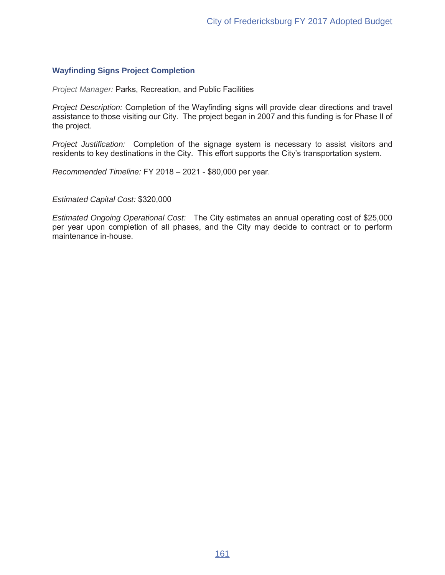# **Wayfinding Signs Project Completion**

*Project Manager: Parks, Recreation, and Public Facilities* 

*Project Description:* Completion of the Wayfinding signs will provide clear directions and travel assistance to those visiting our City. The project began in 2007 and this funding is for Phase II of the project.

*Project Justification:* Completion of the signage system is necessary to assist visitors and residents to key destinations in the City. This effort supports the City's transportation system.

*Recommended Timeline:* FY 2018 - 2021 - \$80,000 per year.

*Estimated Capital Cost:*

*Estimated Ongoing Operational Cost:* The City estimates an annual operating cost of \$25,000 per year upon completion of all phases, and the City may decide to contract or to perform maintenance in-house.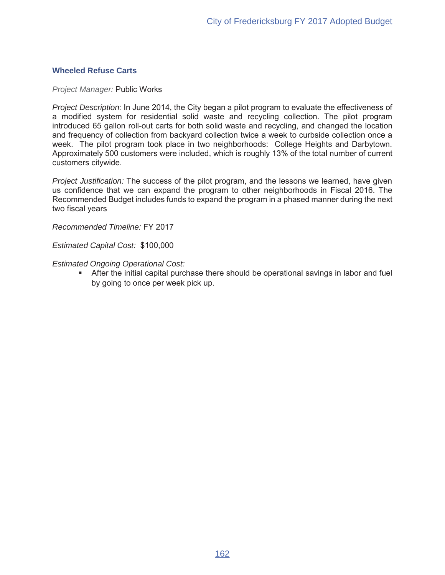### **Wheeled Refuse Carts**

*Project Manager:* Public Works

*Project Description:* In June 2014, the City began a pilot program to evaluate the effectiveness of a modified system for residential solid waste and recycling collection. The pilot program introduced 65 gallon roll-out carts for both solid waste and recycling, and changed the location and frequency of collection from backyard collection twice a week to curbside collection once a week. The pilot program took place in two neighborhoods: College Heights and Darbytown. Approximately 500 customers were included, which is roughly 13% of the total number of current customers citywide.

*Project Justification:* The success of the pilot program, and the lessons we learned, have given us confidence that we can expand the program to other neighborhoods in Fiscal 2016. The Recommended Budget includes funds to expand the program in a phased manner during the next two fiscal vears

**Recommended Timeline: FY 2017** 

*Estimated Capital Cost:* 

*Estimated Ongoing Operational Cost:*

**•** After the initial capital purchase there should be operational savings in labor and fuel by going to once per week pick up.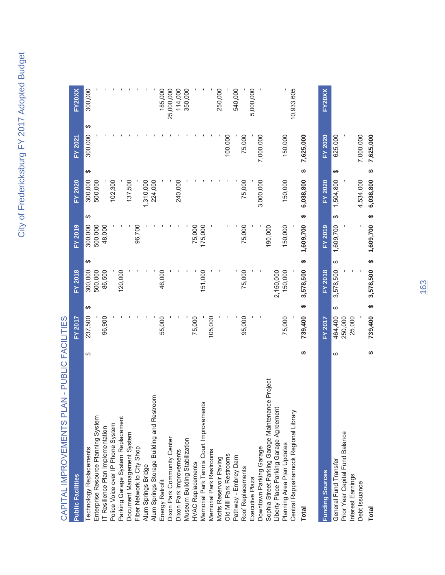# CAPITAL IMPROVEMENTS PLAN - PUBLIC FACILITIES CAPITAL IMPROVEMENTS PLAN - PUBLIC FACILITIES

| <b>Public Facilities</b>                         |   | FY 2017 |   | <b>FY 2018</b> | FY 2019   |    | <b>FY 2020</b> |   | FY 2021        | FY20XX        |  |
|--------------------------------------------------|---|---------|---|----------------|-----------|----|----------------|---|----------------|---------------|--|
| Technology Replacements                          | ↮ | 237,500 | ↮ | ↮<br>300,000   | 300,000   | ↮  | 300,000        | ↮ | ↔<br>300,000   | 300,000       |  |
| Enterprise Resource Planning System              |   |         |   | 500,000        | 500,000   |    | 500,000        |   |                |               |  |
| IT Resilience Plan Implementation                |   | 96,900  |   | 86,500         | 48,000    |    |                |   |                |               |  |
| Police Voice over IP Phone System                |   |         |   |                |           |    | 102,300        |   |                |               |  |
| Parking Garage System Replacement                |   |         |   | 120,000        |           |    |                |   |                |               |  |
| Document Management System                       |   |         |   |                |           |    | 137,500        |   |                |               |  |
| Fiber Network to City Shop                       |   |         |   |                | 96,700    |    |                |   |                |               |  |
| Alum Springs Bridge                              |   |         |   |                |           |    | 1,310,000      |   |                |               |  |
| Alum Springs Storage Building and Restroom       |   |         |   |                |           |    | 224,000        |   |                |               |  |
| Energy Retrofit                                  |   | 55,000  |   | 46,000         |           |    |                |   |                | 185,000       |  |
| Dixon Park Community Center                      |   |         |   |                |           |    |                |   |                | 25,000,000    |  |
| Dixon Park Improvements                          |   |         |   |                |           |    | 240,000        |   |                | 114,000       |  |
| Museum Building Stabilization                    |   |         |   |                |           |    |                |   |                | 350,000       |  |
| <b>HVAC Replacements</b>                         |   | 75,000  |   |                | 75,000    |    |                |   |                |               |  |
| Memorial Park Tennis Court Improvements          |   |         |   | 151,000        | 175,000   |    |                |   |                |               |  |
| Memorial Park Restrooms                          |   | 105,000 |   |                |           |    |                |   |                |               |  |
| Motts Reservoir Paving                           |   |         |   |                |           |    |                |   |                | 250,000       |  |
| Old Mill Park Restrooms                          |   |         |   |                |           |    |                |   | 100,000        |               |  |
| Pathway - Embrey Dam                             |   |         |   |                |           |    |                |   |                | 540,000       |  |
| Roof Replacements                                |   | 95,000  |   | 75,000         | 75,000    |    | 75,000         |   | 75,000         |               |  |
| Executive Plaza                                  |   |         |   |                |           |    |                |   |                | 5,000,000     |  |
| Downtown Parking Garage                          |   |         |   |                |           |    | 3,000,000      |   | 7,000,000      |               |  |
| Sophia Street Parking Garage Maintenance Project |   |         |   |                | 190,000   |    |                |   |                |               |  |
| Liberty Place Parking Garage Agreement           |   |         |   | 2,150,000      |           |    |                |   |                |               |  |
| Planning Area Plan Updates                       |   | 75,000  |   | 150,000        | 150,000   |    | 150,000        |   | 150,000        |               |  |
| Central Rappahannock Regional Library            |   |         |   |                |           |    |                |   |                | 10,933,605    |  |
| <b>Total</b>                                     | ↮ | 739,400 | ↮ | ↮<br>3,578,500 | 1,609,700 | မာ | 6,038,800      | ↮ | 7,625,000      |               |  |
| <b>Funding Sources</b>                           |   | FY 2017 |   | <b>FY 2018</b> | FY 2019   |    | <b>FY 2020</b> |   | <b>FY 2020</b> | <b>FY20XX</b> |  |
| General Fund Transfer                            | ↮ | 464,400 | ↮ | ↮<br>3,578,500 | 1,609,700 | ↮  | 1,504,800      | ↮ | 625,000        |               |  |
| Prior Year Capital Fund Balance                  |   | 250,000 |   |                |           |    |                |   |                |               |  |
| Interest Earnings                                |   | 25,000  |   |                |           |    |                |   |                |               |  |
| Debt Issuance                                    |   |         |   |                |           |    | 4,534,000      |   | 7,000,000      |               |  |

**Total 739,400 \$ 3,578,500 \$ 1,609,700 \$ 6,038,800 \$ 7,625,000 \$**

 $\bullet$ 

Total

739,400 \$ 3,578,500 \$ 1,609,700 \$ 6,038,800 \$ 7,625,000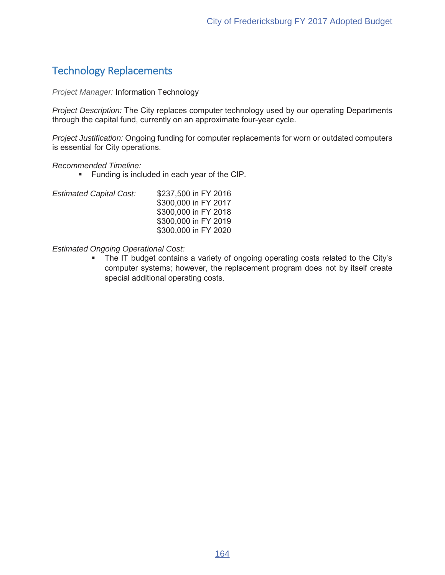# Technology Replacements

*Project Manager:* Information Technology

*Project Description:* The City replaces computer technology used by our operating Departments through the capital fund, currently on an approximate four-year cycle.

*Project Justification:* Ongoing funding for computer replacements for worn or outdated computers is essential for City operations.

# *Recommended Timeline:*

- Funding is included in each year of the CIP.
- *Estimated Capital Cost:* \$237,500 in FY 2016 \$300,000 in FY 2017 \$300,000 in FY 2018 \$300,000 in FY 2019 \$300,000 in FY 2020

*Estimated Ongoing Operational Cost:*

The IT budget contains a variety of ongoing operating costs related to the City's computer systems; however, the replacement program does not by itself create special additional operating costs.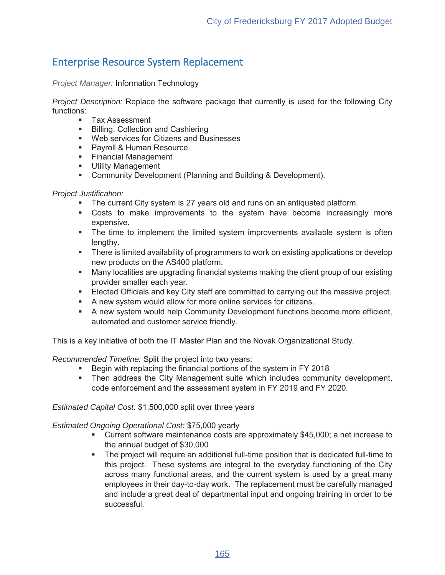# Enterprise Resource System Replacement

*Project Manager:* Information Technology

*Project Description:* Replace the software package that currently is used for the following City functions:

- Tax Assessment
- **Billing, Collection and Cashiering**
- UP Web services for Citizens and Businesses
- Payroll & Human Resource
- Financial Management
- **Utility Management**
- **EXP** Community Development (Planning and Building & Development).

# *Project Justification:*

- $\blacksquare$  The current City system is 27 years old and runs on an antiquated platform.
- " Costs to make improvements to the system have become increasingly more expensive.
- The time to implement the limited system improvements available system is often lengthy.
- **There is limited availability of programmers to work on existing applications or develop** new products on the AS400 platform.
- Many localities are upgrading financial systems making the client group of our existing provider smaller each year.
- Elected Officials and key City staff are committed to carrying out the massive project.
- \* A new system would allow for more online services for citizens.
- \* A new system would help Community Development functions become more efficient, automated and customer service friendly.

This is a key initiative of both the IT Master Plan and the Novak Organizational Study.

*Recommended Timeline:* Split the project into two years:

- **Begin with replacing the financial portions of the system in FY 2018**
- Then address the City Management suite which includes community development, code enforcement and the assessment system in FY 2019 and FY 2020.

*Estimated Capital Cost:* \$1,500,000 split over three years

*Estimated Ongoing Operational Cost:* \$75,000 yearly

- Current software maintenance costs are approximately \$45,000; a net increase to the annual budget of  $$30,000$
- The project will require an additional full-time position that is dedicated full-time to this project. These systems are integral to the everyday functioning of the City across many functional areas, and the current system is used by a great many employees in their day-to-day work. The replacement must be carefully managed and include a great deal of departmental input and ongoing training in order to be successful.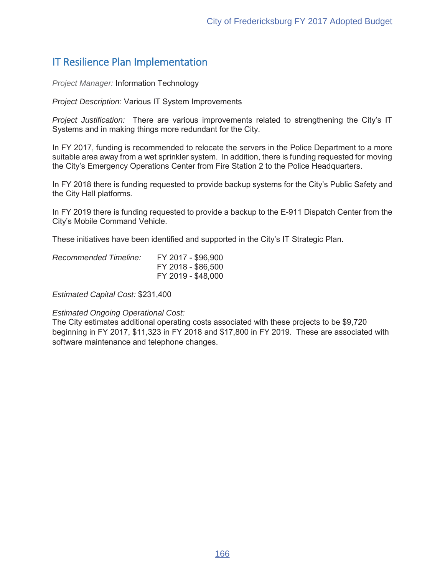# IT Resilience Plan Implementation

*Project Manager:* Information Technology

*Project Description:* Various IT System Improvements

*Project Justification:* There are various improvements related to strengthening the City's IT Systems and in making things more redundant for the City.

In FY 2017, funding is recommended to relocate the servers in the Police Department to a more suitable area away from a wet sprinkler system. In addition, there is funding requested for moving the City's Emergency Operations Center from Fire Station 2 to the Police Headquarters.

In FY 2018 there is funding requested to provide backup systems for the City's Public Safety and the City Hall platforms.

In FY 2019 there is funding requested to provide a backup to the E-911 Dispatch Center from the City's Mobile Command Vehicle.

These initiatives have been identified and supported in the City's IT Strategic Plan.

| Recommended Timeline: | FY 2017 - \$96,900 |
|-----------------------|--------------------|
|                       | FY 2018 - \$86,500 |
|                       | FY 2019 - \$48,000 |

*Estimated Capital Cost:*

# *Estimated Ongoing Operational Cost:*

The City estimates additional operating costs associated with these projects to be \$9,720 beginning in FY 2017, \$11,323 in FY 2018 and \$17,800 in FY 2019. These are associated with software maintenance and telephone changes.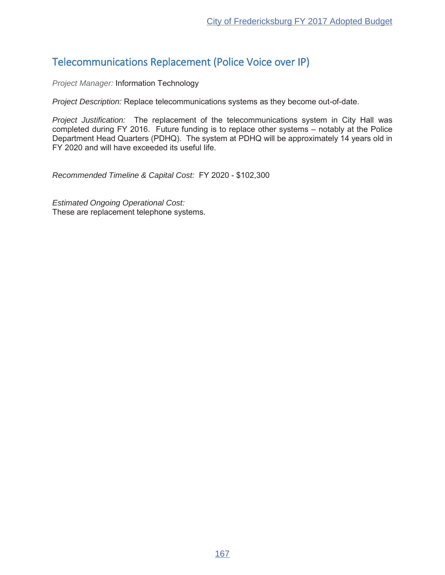# Telecommunications Replacement (Police Voice over IP)

*Project Manager:* Information Technology

*Project Description:* Replace telecommunications systems as they become out-of-date.

*Project Justification:* The replacement of the telecommunications system in City Hall was completed during FY 2016. Future funding is to replace other systems - notably at the Police Department Head Quarters (PDHQ). The system at PDHQ will be approximately 14 years old in FY 2020 and will have exceeded its useful life.

*Recommended Timeline & Capital Cost:* FY 2020 - \$102,300

*Estimated Ongoing Operational Cost:* These are replacement telephone systems.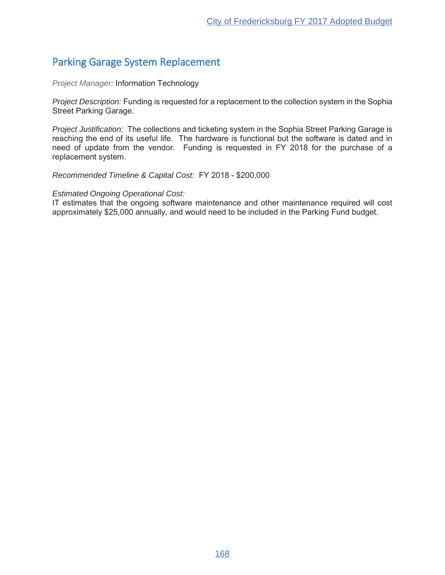# Parking Garage System Replacement

*Project Manager:* Information Technology

*Project Description:* Funding is requested for a replacement to the collection system in the Sophia Street Parking Garage.

*Project Justification:* The collections and ticketing system in the Sophia Street Parking Garage is reaching the end of its useful life. The hardware is functional but the software is dated and in need of update from the vendor. Funding is requested in FY 2018 for the purchase of a replacement system.

*Recommended Timeline & Capital Cost: FY 2018 - \$200,000* 

### *Estimated Ongoing Operational Cost:*

IT estimates that the ongoing software maintenance and other maintenance required will cost approximately \$25,000 annually, and would need to be included in the Parking Fund budget.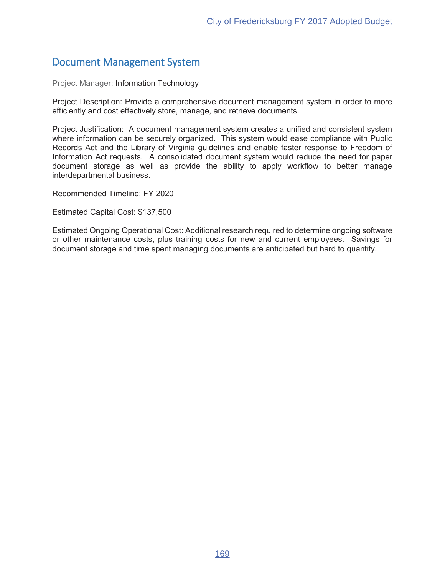# Document Management System

Project Manager: Information Technology

Project Description: Provide a comprehensive document management system in order to more efficiently and cost effectively store, manage, and retrieve documents.

Project Justification: A document management system creates a unified and consistent system where information can be securely organized. This system would ease compliance with Public Records Act and the Library of Virginia guidelines and enable faster response to Freedom of Information Act requests. A consolidated document system would reduce the need for paper document storage as well as provide the ability to apply workflow to better manage interdepartmental business.

Recommended Timeline: FY 2020

Estimated Capital Cost: \$137,500

Estimated Ongoing Operational Cost: Additional research required to determine ongoing software or other maintenance costs, plus training costs for new and current employees. Savings for document storage and time spent managing documents are anticipated but hard to quantify.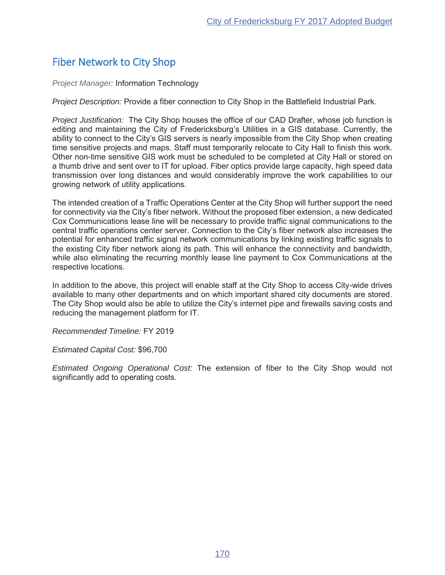# Fiber Network to City Shop

*Project Manager:* Information Technology

*Project Description:* Provide a fiber connection to City Shop in the Battlefield Industrial Park.

*Project Justification:* The City Shop houses the office of our CAD Drafter, whose job function is editing and maintaining the City of Fredericksburg's Utilities in a GIS database. Currently, the ability to connect to the City's GIS servers is nearly impossible from the City Shop when creating time sensitive projects and maps. Staff must temporarily relocate to City Hall to finish this work. Other non-time sensitive GIS work must be scheduled to be completed at City Hall or stored on a thumb drive and sent over to IT for upload. Fiber optics provide large capacity, high speed data transmission over long distances and would considerably improve the work capabilities to our growing network of utility applications.

The intended creation of a Traffic Operations Center at the City Shop will further support the need for connectivity via the City's fiber network. Without the proposed fiber extension, a new dedicated Cox Communications lease line will be necessary to provide traffic signal communications to the central traffic operations center server. Connection to the City's fiber network also increases the potential for enhanced traffic signal network communications by linking existing traffic signals to the existing City fiber network along its path. This will enhance the connectivity and bandwidth, while also eliminating the recurring monthly lease line payment to Cox Communications at the respective locations.

In addition to the above, this project will enable staff at the City Shop to access City-wide drives available to many other departments and on which important shared city documents are stored. The City Shop would also be able to utilize the City's internet pipe and firewalls saving costs and reducing the management platform for IT.

**Recommended Timeline: FY 2019** 

*Estimated Capital Cost:*

*Estimated Ongoing Operational Cost:* The extension of fiber to the City Shop would not significantly add to operating costs.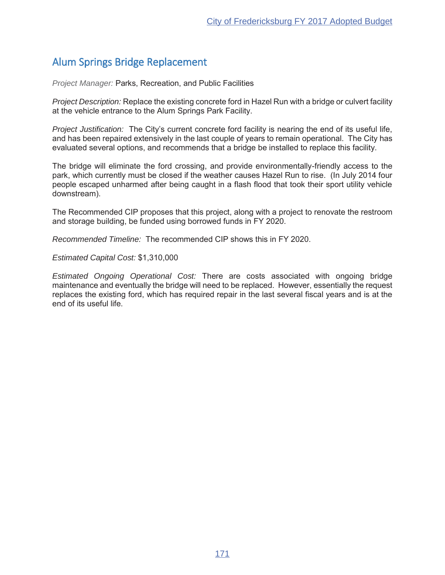# Alum Springs Bridge Replacement

*Project Manager: Parks, Recreation, and Public Facilities* 

*Project Description:* Replace the existing concrete ford in Hazel Run with a bridge or culvert facility at the vehicle entrance to the Alum Springs Park Facility.

*Project Justification:* The City's current concrete ford facility is nearing the end of its useful life, and has been repaired extensively in the last couple of years to remain operational. The City has evaluated several options, and recommends that a bridge be installed to replace this facility.

The bridge will eliminate the ford crossing, and provide environmentally-friendly access to the park, which currently must be closed if the weather causes Hazel Run to rise. (In July 2014 four people escaped unharmed after being caught in a flash flood that took their sport utility vehicle downstream).

The Recommended CIP proposes that this project, along with a project to renovate the restroom and storage building, be funded using borrowed funds in FY 2020.

*Recommended Timeline:* The recommended CIP shows this in FY 2020.

*Estimated Capital Cost:*

*Estimated Ongoing Operational Cost:* There are costs associated with ongoing bridge maintenance and eventually the bridge will need to be replaced. However, essentially the request replaces the existing ford, which has required repair in the last several fiscal years and is at the end of its useful life.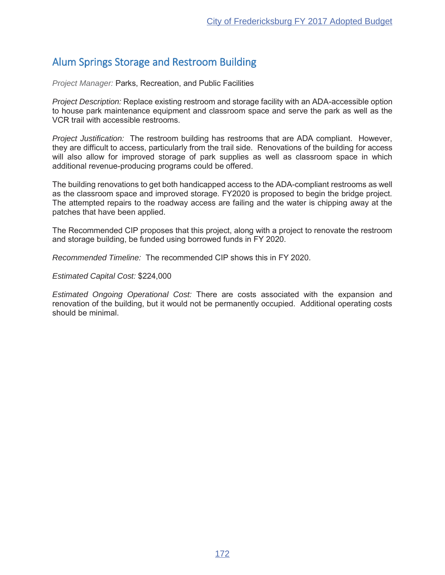# Alum Springs Storage and Restroom Building

*Project Manager: Parks, Recreation, and Public Facilities* 

*Project Description:* Replace existing restroom and storage facility with an ADA-accessible option to house park maintenance equipment and classroom space and serve the park as well as the VCR trail with accessible restrooms.

*Project Justification:* The restroom building has restrooms that are ADA compliant. However, they are difficult to access, particularly from the trail side. Renovations of the building for access will also allow for improved storage of park supplies as well as classroom space in which additional revenue-producing programs could be offered.

The building renovations to get both handicapped access to the ADA-compliant restrooms as well as the classroom space and improved storage. FY2020 is proposed to begin the bridge project. The attempted repairs to the roadway access are failing and the water is chipping away at the patches that have been applied.

The Recommended CIP proposes that this project, along with a project to renovate the restroom and storage building, be funded using borrowed funds in FY 2020.

*Recommended Timeline:* The recommended CIP shows this in FY 2020.

*Estimated Capital Cost:*

*Estimated Ongoing Operational Cost:* There are costs associated with the expansion and renovation of the building, but it would not be permanently occupied. Additional operating costs should be minimal.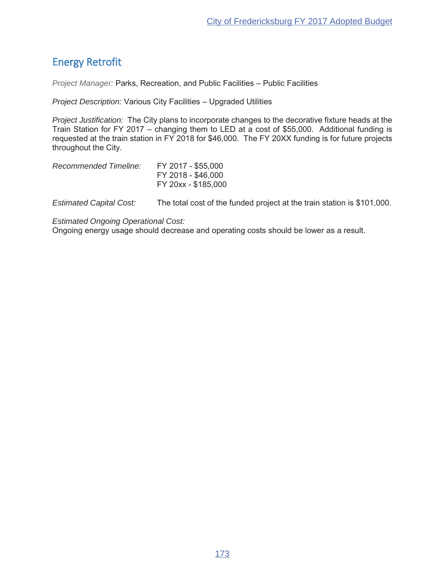# Energy Retrofit

*Project Manager:* Parks, Recreation, and Public Facilities - Public Facilities

*Project Description:* Various City Facilities - Upgraded Utilities

*Project Justification:* The City plans to incorporate changes to the decorative fixture heads at the Train Station for FY 2017 - changing them to LED at a cost of \$55,000. Additional funding is requested at the train station in FY 2018 for \$46,000. The FY 20XX funding is for future projects throughout the City.

| Recommended Timeline: | FY 2017 - \$55,000  |
|-----------------------|---------------------|
|                       | FY 2018 - \$46,000  |
|                       | FY 20xx - \$185,000 |

*Estimated Capital Cost:* The total cost of the funded project at the train station is \$101,000.

*Estimated Ongoing Operational Cost:*

Ongoing energy usage should decrease and operating costs should be lower as a result.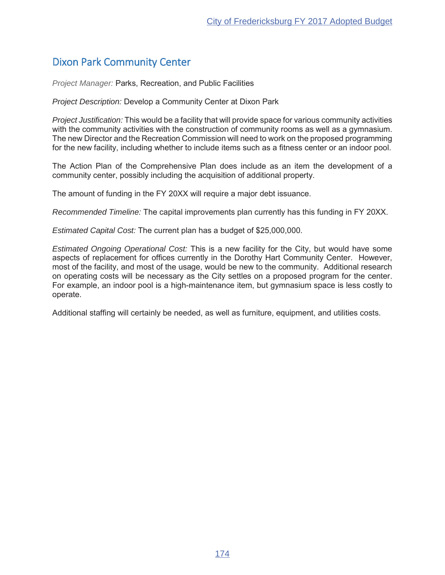# Dixon Park Community Center

*Project Manager: Parks, Recreation, and Public Facilities* 

*Project Description: Develop a Community Center at Dixon Park* 

*Project Justification:* This would be a facility that will provide space for various community activities with the community activities with the construction of community rooms as well as a gymnasium. The new Director and the Recreation Commission will need to work on the proposed programming for the new facility, including whether to include items such as a fitness center or an indoor pool.

The Action Plan of the Comprehensive Plan does include as an item the development of a community center, possibly including the acquisition of additional property.

The amount of funding in the FY 20XX will require a major debt issuance.

*Recommended Timeline:* The capital improvements plan currently has this funding in FY 20XX.

*Estimated Capital Cost:* The current plan has a budget of \$25,000,000.

*Estimated Ongoing Operational Cost:* This is a new facility for the City, but would have some aspects of replacement for offices currently in the Dorothy Hart Community Center. However, most of the facility, and most of the usage, would be new to the community. Additional research on operating costs will be necessary as the City settles on a proposed program for the center. For example, an indoor pool is a high-maintenance item, but gymnasium space is less costly to operate.

Additional staffing will certainly be needed, as well as furniture, equipment, and utilities costs.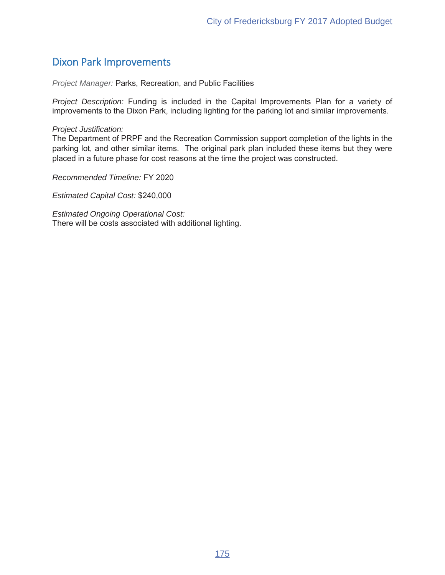# Dixon Park Improvements

*Project Manager:* Parks, Recreation, and Public Facilities

*Project Description:* Funding is included in the Capital Improvements Plan for a variety of improvements to the Dixon Park, including lighting for the parking lot and similar improvements.

### *Project Justification:*

The Department of PRPF and the Recreation Commission support completion of the lights in the parking lot, and other similar items. The original park plan included these items but they were placed in a future phase for cost reasons at the time the project was constructed.

**Recommended Timeline: FY 2020** 

*Estimated Capital Cost:*

*Estimated Ongoing Operational Cost:* There will be costs associated with additional lighting.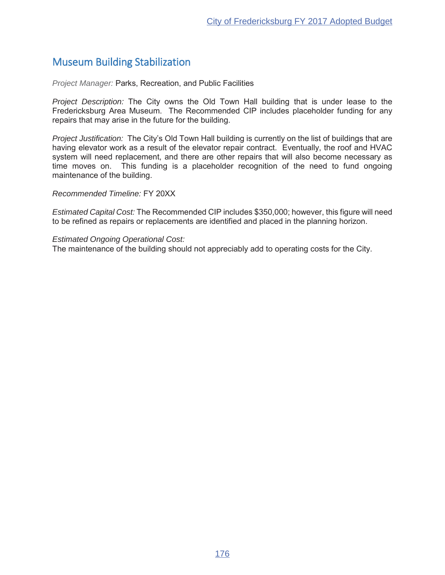# Museum Building Stabilization

*Project Manager: Parks, Recreation, and Public Facilities* 

*Project Description:* The City owns the Old Town Hall building that is under lease to the Fredericksburg Area Museum. The Recommended CIP includes placeholder funding for any repairs that may arise in the future for the building.

*Project Justification:* The City's Old Town Hall building is currently on the list of buildings that are having elevator work as a result of the elevator repair contract. Eventually, the roof and HVAC system will need replacement, and there are other repairs that will also become necessary as time moves on. This funding is a placeholder recognition of the need to fund ongoing maintenance of the building.

**Recommended Timeline: FY 20XX** 

*Estimated Capital Cost:* The Recommended CIP includes \$350,000; however, this figure will need to be refined as repairs or replacements are identified and placed in the planning horizon.

*Estimated Ongoing Operational Cost:*

The maintenance of the building should not appreciably add to operating costs for the City.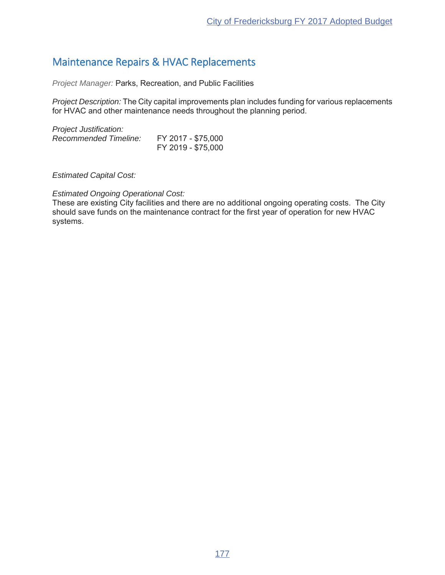# Maintenance Repairs & HVAC Replacements

*Project Manager:* Parks, Recreation, and Public Facilities

*Project Description:* The City capital improvements plan includes funding for various replacements for HVAC and other maintenance needs throughout the planning period.

*Project Justification:* Recommended Timeline: FY 2017 - \$75,000 FY 2019 - \$75,000

*Estimated Capital Cost:*

### *Estimated Ongoing Operational Cost:*

These are existing City facilities and there are no additional ongoing operating costs. The City should save funds on the maintenance contract for the first year of operation for new HVAC systems.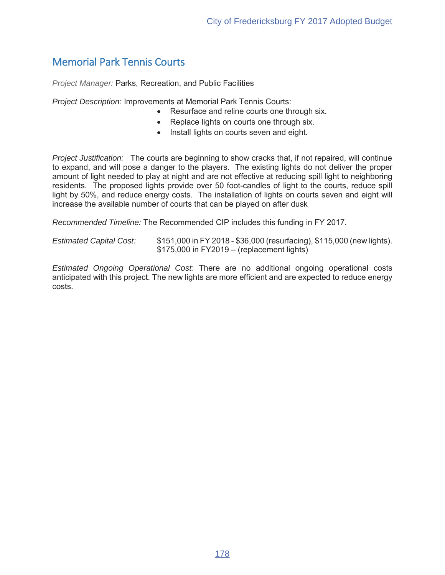# Memorial Park Tennis Courts

*Project Manager: Parks, Recreation, and Public Facilities* 

*Project Description:* Improvements at Memorial Park Tennis Courts:

- Resurface and reline courts one through six.
- Replace lights on courts one through six.
- Install lights on courts seven and eight.

*Project Justification:* The courts are beginning to show cracks that, if not repaired, will continue to expand, and will pose a danger to the players. The existing lights do not deliver the proper amount of light needed to play at night and are not effective at reducing spill light to neighboring residents. The proposed lights provide over 50 foot-candles of light to the courts, reduce spill light by 50%, and reduce energy costs. The installation of lights on courts seven and eight will increase the available number of courts that can be played on after dusk

*Recommended Timeline:* The Recommended CIP includes this funding in FY 2017.

*Estimated Capital Cost:* \$151,000 in FY 2018 - \$36,000 (resurfacing), \$115,000 (new lights).  $$175,000$  in FY2019 – (replacement lights)

*Estimated Ongoing Operational Cost:* There are no additional ongoing operational costs anticipated with this project. The new lights are more efficient and are expected to reduce energy costs.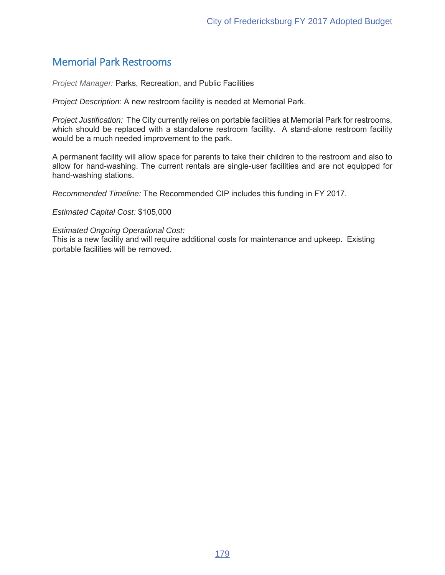# Memorial Park Restrooms

*Project Manager:* Parks, Recreation, and Public Facilities

*Project Description:* A new restroom facility is needed at Memorial Park.

*Project Justification:* The City currently relies on portable facilities at Memorial Park for restrooms, which should be replaced with a standalone restroom facility. A stand-alone restroom facility would be a much needed improvement to the park.

A permanent facility will allow space for parents to take their children to the restroom and also to allow for hand-washing. The current rentals are single-user facilities and are not equipped for hand-washing stations.

*Recommended Timeline:* The Recommended CIP includes this funding in FY 2017.

*Estimated Capital Cost:*

### *Estimated Ongoing Operational Cost:*

This is a new facility and will require additional costs for maintenance and upkeep. Existing portable facilities will be removed.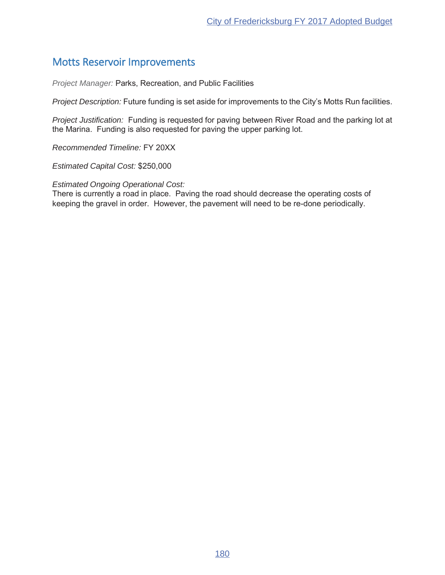# Motts Reservoir Improvements

*Project Manager:* Parks, Recreation, and Public Facilities

*Project Description:* Future funding is set aside for improvements to the City's Motts Run facilities.

*Project Justification:* Funding is requested for paving between River Road and the parking lot at the Marina. Funding is also requested for paving the upper parking lot.

**Recommended Timeline: FY 20XX** 

*Estimated Capital Cost:*

*Estimated Ongoing Operational Cost:*

There is currently a road in place. Paving the road should decrease the operating costs of keeping the gravel in order. However, the pavement will need to be re-done periodically.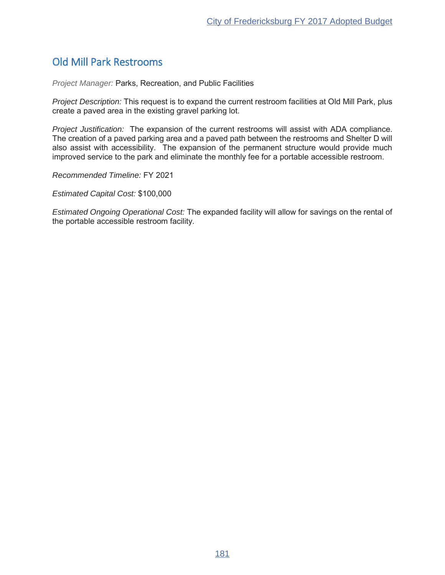# Old Mill Park Restrooms

*Project Manager:* Parks, Recreation, and Public Facilities

*Project Description:* This request is to expand the current restroom facilities at Old Mill Park, plus create a paved area in the existing gravel parking lot.

*Project Justification:* The expansion of the current restrooms will assist with ADA compliance. The creation of a paved parking area and a paved path between the restrooms and Shelter D will also assist with accessibility. The expansion of the permanent structure would provide much improved service to the park and eliminate the monthly fee for a portable accessible restroom.

**Recommended Timeline: FY 2021** 

*Estimated Capital Cost:*

*Estimated Ongoing Operational Cost:* The expanded facility will allow for savings on the rental of the portable accessible restroom facility.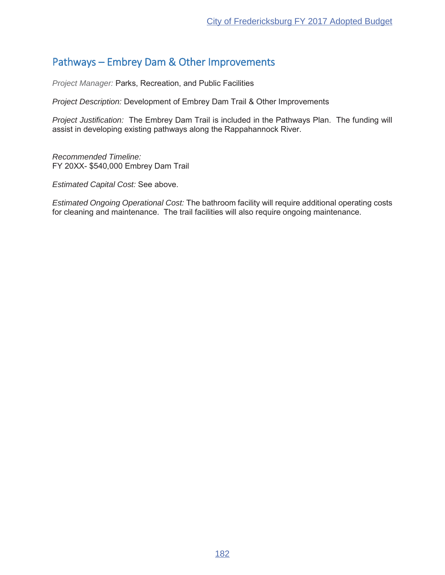# Pathways – Embrey Dam & Other Improvements

*Project Manager:* Parks, Recreation, and Public Facilities

*Project Description:* Development of Embrey Dam Trail & Other Improvements

*Project Justification:* The Embrey Dam Trail is included in the Pathways Plan. The funding will assist in developing existing pathways along the Rappahannock River.

*Recommended Timeline:* FY 20XX- \$540,000 Embrey Dam Trail

*Estimated Capital Cost:* See above.

*Estimated Ongoing Operational Cost:* The bathroom facility will require additional operating costs for cleaning and maintenance. The trail facilities will also require ongoing maintenance.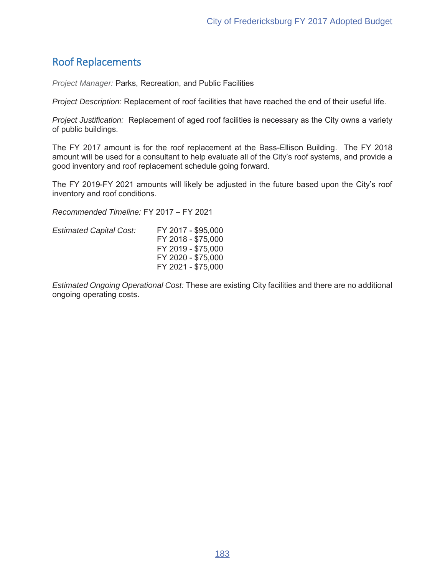# Roof Replacements

*Project Manager: Parks, Recreation, and Public Facilities* 

*Project Description:* Replacement of roof facilities that have reached the end of their useful life.

*Project Justification:* Replacement of aged roof facilities is necessary as the City owns a variety of public buildings.

The FY 2017 amount is for the roof replacement at the Bass-Ellison Building. The FY 2018 amount will be used for a consultant to help evaluate all of the City's roof systems, and provide a good inventory and roof replacement schedule going forward.

The FY 2019-FY 2021 amounts will likely be adjusted in the future based upon the City's roof inventory and roof conditions.

Recommended Timeline: FY 2017 - FY 2021

| <b>Estimated Capital Cost:</b> | FY 2017 - \$95,000 |
|--------------------------------|--------------------|
|                                | FY 2018 - \$75,000 |
|                                | FY 2019 - \$75,000 |
|                                | FY 2020 - \$75,000 |
|                                | FY 2021 - \$75,000 |
|                                |                    |

*Estimated Ongoing Operational Cost:* These are existing City facilities and there are no additional ongoing operating costs.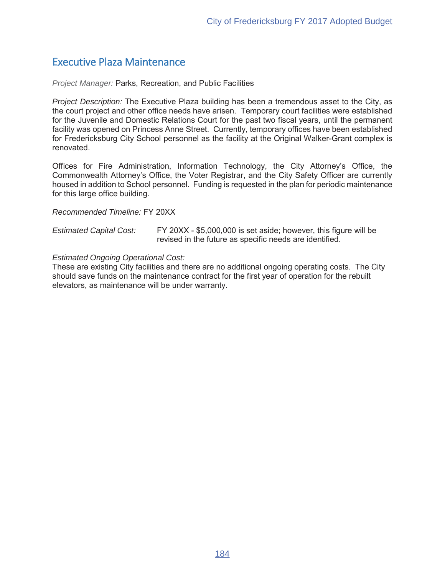# Executive Plaza Maintenance

*Project Manager: Parks, Recreation, and Public Facilities* 

*Project Description:* The Executive Plaza building has been a tremendous asset to the City, as the court project and other office needs have arisen. Temporary court facilities were established for the Juvenile and Domestic Relations Court for the past two fiscal years, until the permanent facility was opened on Princess Anne Street. Currently, temporary offices have been established for Fredericksburg City School personnel as the facility at the Original Walker-Grant complex is renovated.

Offices for Fire Administration, Information Technology, the City Attorney's Office, the Commonwealth Attorney's Office, the Voter Registrar, and the City Safety Officer are currently housed in addition to School personnel. Funding is requested in the plan for periodic maintenance for this large office building.

**Recommended Timeline: FY 20XX** 

*Estimated Capital Cost:* FY 20XX - \$5,000,000 is set aside; however, this figure will be revised in the future as specific needs are identified.

### *Estimated Ongoing Operational Cost:*

These are existing City facilities and there are no additional ongoing operating costs. The City should save funds on the maintenance contract for the first year of operation for the rebuilt elevators, as maintenance will be under warranty.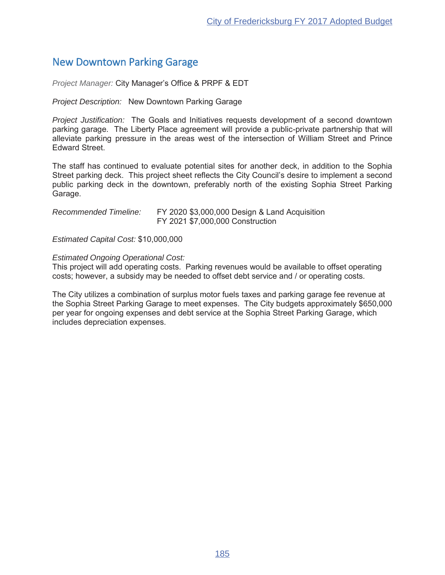# New Downtown Parking Garage

*Project Manager:* City Manager's Office & PRPF & EDT

*Project Description:* New Downtown Parking Garage

*Project Justification:* The Goals and Initiatives requests development of a second downtown parking garage. The Liberty Place agreement will provide a public-private partnership that will alleviate parking pressure in the areas west of the intersection of William Street and Prince Edward Street.

The staff has continued to evaluate potential sites for another deck, in addition to the Sophia Street parking deck. This project sheet reflects the City Council's desire to implement a second public parking deck in the downtown, preferably north of the existing Sophia Street Parking Garage.

| Recommended Timeline: | FY 2020 \$3,000,000 Design & Land Acquisition |
|-----------------------|-----------------------------------------------|
|                       | FY 2021 \$7,000,000 Construction              |

*Estimated Capital Cost:*

### *Estimated Ongoing Operational Cost:*

This project will add operating costs. Parking revenues would be available to offset operating costs; however, a subsidy may be needed to offset debt service and / or operating costs.

The City utilizes a combination of surplus motor fuels taxes and parking garage fee revenue at the Sophia Street Parking Garage to meet expenses. The City budgets approximately \$650,000 per year for ongoing expenses and debt service at the Sophia Street Parking Garage, which includes depreciation expenses.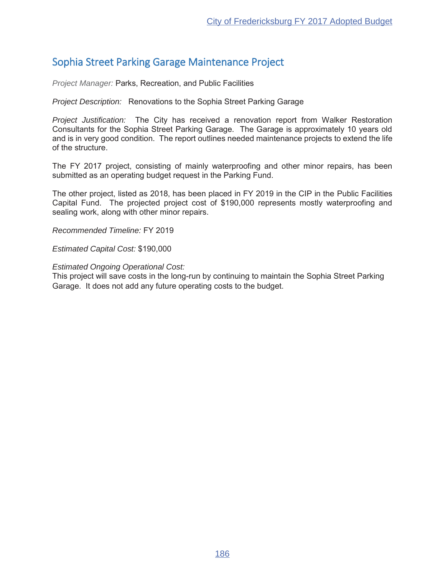# Sophia Street Parking Garage Maintenance Project

*Project Manager: Parks, Recreation, and Public Facilities* 

*Project Description:* Renovations to the Sophia Street Parking Garage

*Project Justification:* The City has received a renovation report from Walker Restoration Consultants for the Sophia Street Parking Garage. The Garage is approximately 10 years old and is in very good condition. The report outlines needed maintenance projects to extend the life of the structure.

The FY 2017 project, consisting of mainly waterproofing and other minor repairs, has been submitted as an operating budget request in the Parking Fund.

The other project, listed as 2018, has been placed in FY 2019 in the CIP in the Public Facilities Capital Fund. The projected project cost of \$190,000 represents mostly waterproofing and sealing work, along with other minor repairs.

**Recommended Timeline: FY 2019** 

*Estimated Capital Cost:*

### *Estimated Ongoing Operational Cost:*

This project will save costs in the long-run by continuing to maintain the Sophia Street Parking Garage. It does not add any future operating costs to the budget.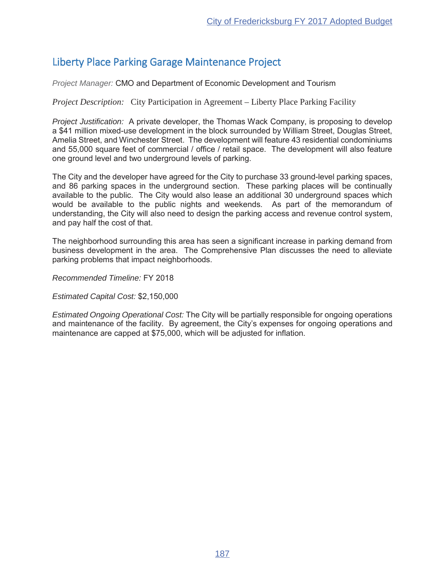# Liberty Place Parking Garage Maintenance Project

*Project Manager:* CMO and Department of Economic Development and Tourism

*Project Description:* City Participation in Agreement – Liberty Place Parking Facility

*Project Justification:* A private developer, the Thomas Wack Company, is proposing to develop a \$41 million mixed-use development in the block surrounded by William Street, Douglas Street, Amelia Street, and Winchester Street. The development will feature 43 residential condominiums and 55.000 square feet of commercial / office / retail space. The development will also feature one ground level and two underground levels of parking.

The City and the developer have agreed for the City to purchase 33 ground-level parking spaces, and 86 parking spaces in the underground section. These parking places will be continually available to the public. The City would also lease an additional 30 underground spaces which would be available to the public nights and weekends. As part of the memorandum of understanding, the City will also need to design the parking access and revenue control system, and pay half the cost of that.

The neighborhood surrounding this area has seen a significant increase in parking demand from business development in the area. The Comprehensive Plan discusses the need to alleviate parking problems that impact neighborhoods.

**Recommended Timeline: FY 2018** 

*Estimated Capital Cost:*

*Estimated Ongoing Operational Cost:* The City will be partially responsible for ongoing operations and maintenance of the facility. By agreement, the City's expenses for ongoing operations and maintenance are capped at  $$75,000$ , which will be adjusted for inflation.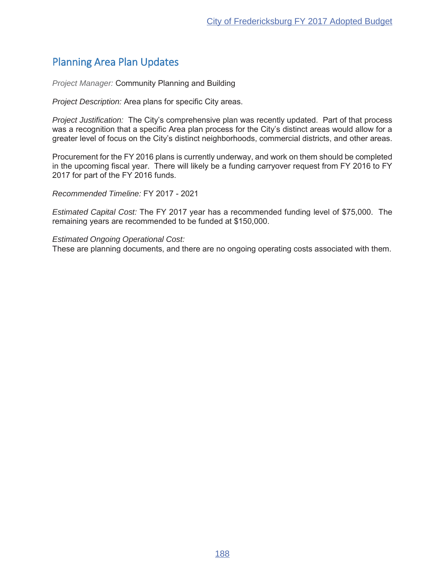# Planning Area Plan Updates

*Project Manager:* Community Planning and Building

*Project Description:* Area plans for specific City areas.

*Project Justification:* The City's comprehensive plan was recently updated. Part of that process was a recognition that a specific Area plan process for the City's distinct areas would allow for a greater level of focus on the City's distinct neighborhoods, commercial districts, and other areas.

Procurement for the FY 2016 plans is currently underway, and work on them should be completed in the upcoming fiscal year. There will likely be a funding carryover request from FY 2016 to FY 2017 for part of the FY 2016 funds.

*Recommended Timeline:* FY 2017 - 2021

*Estimated Capital Cost:* The FY 2017 year has a recommended funding level of \$75,000. The remaining years are recommended to be funded at \$150,000.

*Estimated Ongoing Operational Cost:*

These are planning documents, and there are no ongoing operating costs associated with them.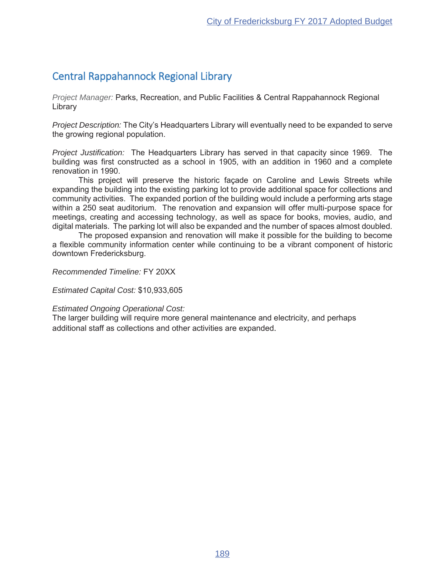# Central Rappahannock Regional Library

*Project Manager:* Parks, Recreation, and Public Facilities & Central Rappahannock Regional Library

*Project Description:* The City's Headquarters Library will eventually need to be expanded to serve the growing regional population.

*Project Justification:* The Headquarters Library has served in that capacity since 1969. The building was first constructed as a school in 1905, with an addition in 1960 and a complete renovation in 1990.

This project will preserve the historic facade on Caroline and Lewis Streets while expanding the building into the existing parking lot to provide additional space for collections and community activities. The expanded portion of the building would include a performing arts stage within a 250 seat auditorium. The renovation and expansion will offer multi-purpose space for meetings, creating and accessing technology, as well as space for books, movies, audio, and digital materials. The parking lot will also be expanded and the number of spaces almost doubled.

The proposed expansion and renovation will make it possible for the building to become a flexible community information center while continuing to be a vibrant component of historic downtown Fredericksburg.

**Recommended Timeline: FY 20XX** 

*Estimated Capital Cost:*

### *Estimated Ongoing Operational Cost:*

The larger building will require more general maintenance and electricity, and perhaps additional staff as collections and other activities are expanded.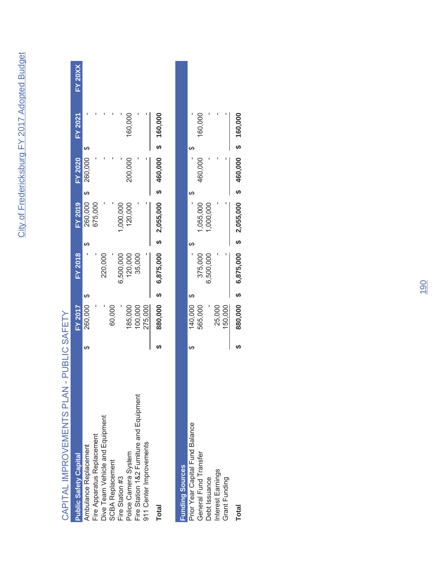# CAPITAL IMPROVEMENTS PLAN - PUBLIC SAFETY CAPITAL IMPROVEMENTS PLAN - PUBLIC SAFETY

| <b>Public Safety Capital</b>             | <b>FY 2017</b> | FY 2018     | <b>FY 2019</b> | FY 2020   | <b>FY 2021</b> | ${\sf FY}$ 20X) |
|------------------------------------------|----------------|-------------|----------------|-----------|----------------|-----------------|
| Ambulance Replacement                    | 160,000        |             | 260,000        | 260,000   |                |                 |
| Fire Apparatus Replacement               |                |             | 675,000        |           |                |                 |
| Dive Team Vehicle and Equipment          |                | 220,000     |                |           |                |                 |
| <b>SCBA Replacement</b>                  | 60,000         |             |                |           |                |                 |
| Fire Station #3                          |                | 6,500,000   | 1,000,000      |           |                |                 |
| Police Camera System                     | 185,000        | 120,000     | 120,000        | 200,000   | 160,000        |                 |
| Fire Station 1&2 Furniture and Equipment | 100,000        | 35,000      |                |           |                |                 |
| 911 Center Improvements                  | 275,000        |             |                |           |                |                 |
| <b>Total</b>                             | 380,000        | \$6,875,000 | \$2,055,000    | \$460,000 | \$ 160,000     |                 |

| <b>Funding Sources</b>          |         |           |           |         |         |
|---------------------------------|---------|-----------|-----------|---------|---------|
| Prior Year Capital Fund Balance | 40,000  |           |           |         |         |
| General Fund Transfer           | 565,000 | 375,000   | ,055,000  | 160,000 | 160,000 |
| Debt Issuance                   |         | 6,500,000 | ,000,000  |         |         |
| Interest Earnings               | 25,000  |           |           |         |         |
| Grant Funding                   | 150,000 |           |           |         |         |
| <b>Total</b>                    | 880,000 | 6,875,000 | 2,055,000 | 460,000 | 160,000 |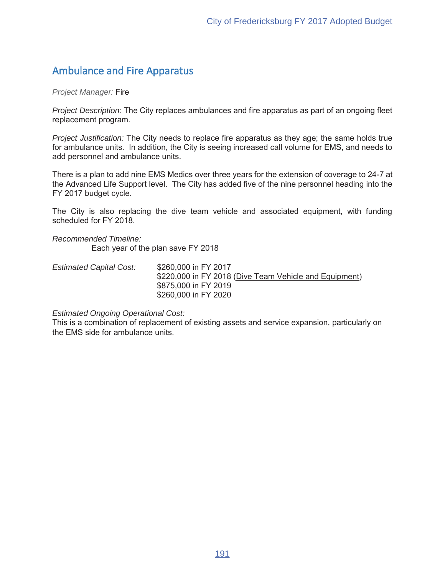# Ambulance and Fire Apparatus

*Project Manager:* Fire

*Project Description:* The City replaces ambulances and fire apparatus as part of an ongoing fleet replacement program.

*Project Justification:* The City needs to replace fire apparatus as they age; the same holds true for ambulance units. In addition, the City is seeing increased call volume for EMS, and needs to add personnel and ambulance units.

There is a plan to add nine EMS Medics over three years for the extension of coverage to 24-7 at the Advanced Life Support level. The City has added five of the nine personnel heading into the FY 2017 budget cycle.

The City is also replacing the dive team vehicle and associated equipment, with funding scheduled for FY 2018.

*Recommended Timeline:* Each year of the plan save  $FY$  2018

*Estimated Capital Cost:* \$260,000 in FY 2017 \$220,000 in FY 2018 (Dive Team Vehicle and Equipment) \$875,000 in FY 2019 \$260,000 in FY 2020

### *Estimated Ongoing Operational Cost:*

This is a combination of replacement of existing assets and service expansion, particularly on the FMS side for ambulance units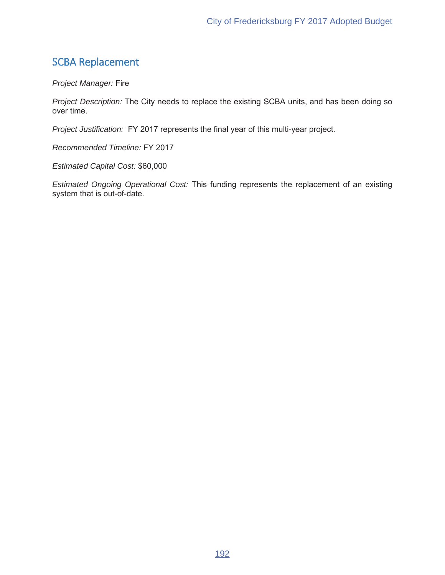# SCBA Replacement

**Project Manager: Fire** 

*Project Description:* The City needs to replace the existing SCBA units, and has been doing so over time.

*Project Justification:* FY 2017 represents the final year of this multi-year project.

**Recommended Timeline: FY 2017** 

*Estimated Capital Cost:*

*Estimated Ongoing Operational Cost:* This funding represents the replacement of an existing system that is out-of-date.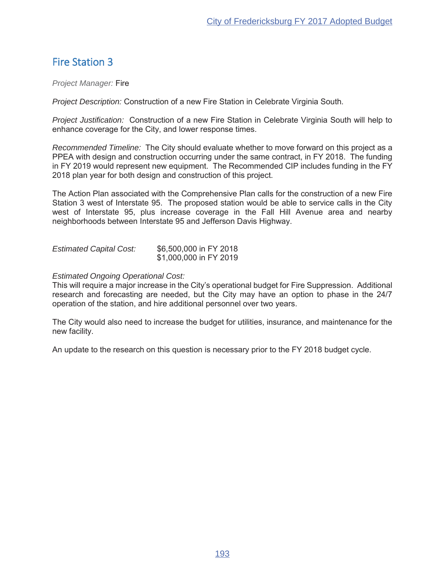# Fire Station 3

*Project Manager:* Fire

*Project Description:* Construction of a new Fire Station in Celebrate Virginia South.

*Project Justification:* Construction of a new Fire Station in Celebrate Virginia South will help to enhance coverage for the City, and lower response times.

*Recommended Timeline:* The City should evaluate whether to move forward on this project as a PPEA with design and construction occurring under the same contract, in FY 2018. The funding in FY 2019 would represent new equipment. The Recommended CIP includes funding in the FY 2018 plan year for both design and construction of this project.

The Action Plan associated with the Comprehensive Plan calls for the construction of a new Fire Station 3 west of Interstate 95. The proposed station would be able to service calls in the City west of Interstate 95, plus increase coverage in the Fall Hill Avenue area and nearby neighborhoods between Interstate 95 and Jefferson Davis Highway.

| <b>Estimated Capital Cost:</b> | \$6,500,000 in FY 2018 |
|--------------------------------|------------------------|
|                                | \$1,000,000 in FY 2019 |

### *Estimated Ongoing Operational Cost:*

This will require a major increase in the City's operational budget for Fire Suppression. Additional research and forecasting are needed, but the City may have an option to phase in the 24/7 operation of the station, and hire additional personnel over two years.

The City would also need to increase the budget for utilities, insurance, and maintenance for the new facility.

An update to the research on this question is necessary prior to the FY 2018 budget cycle.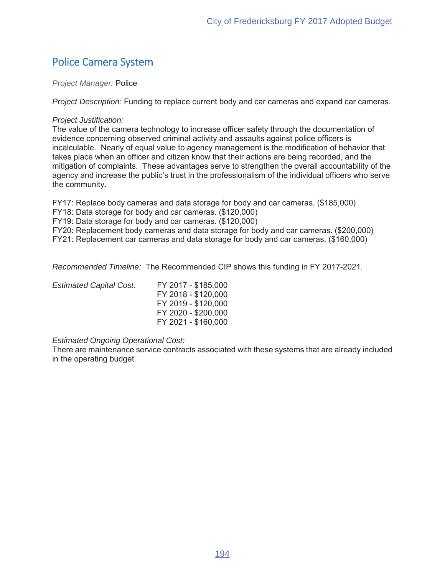# Police Camera System

**Project Manager: Police** 

*Project Description:* Funding to replace current body and car cameras and expand car cameras.

### *Project Justification:*

The value of the camera technology to increase officer safety through the documentation of evidence concerning observed criminal activity and assaults against police officers is incalculable. Nearly of equal value to agency management is the modification of behavior that takes place when an officer and citizen know that their actions are being recorded, and the mitigation of complaints. These advantages serve to strengthen the overall accountability of the agency and increase the public's trust in the professionalism of the individual officers who serve the community.

FY17: Replace body cameras and data storage for body and car cameras. (\$185,000)

FY18: Data storage for body and car cameras. (\$120,000)

FY19: Data storage for body and car cameras. (\$120,000)

FY20: Replacement body cameras and data storage for body and car cameras. (\$200,000)

FY21: Replacement car cameras and data storage for body and car cameras. (\$160,000)

*Recommended Timeline:* The Recommended CIP shows this funding in FY 2017-2021.

| <b>Estimated Capital Cost:</b> | FY 2017 - \$185,000 |
|--------------------------------|---------------------|
|                                | FY 2018 - \$120,000 |
|                                | FY 2019 - \$120,000 |
|                                | FY 2020 - \$200,000 |
|                                | FY 2021 - \$160,000 |

### *Estimated Ongoing Operational Cost:*

There are maintenance service contracts associated with these systems that are already included in the operating budget.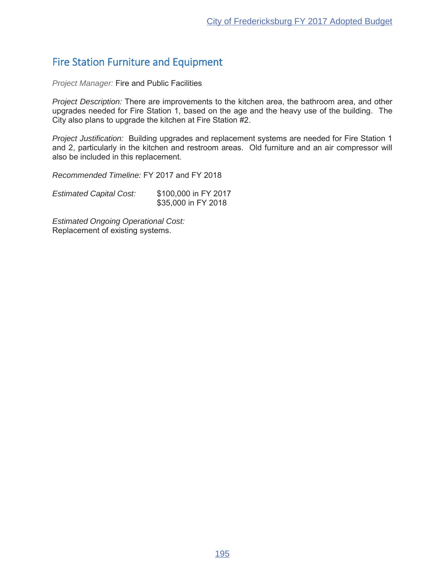# Fire Station Furniture and Equipment

*Project Manager:* Fire and Public Facilities

*Project Description:* There are improvements to the kitchen area, the bathroom area, and other upgrades needed for Fire Station 1, based on the age and the heavy use of the building. The City also plans to upgrade the kitchen at Fire Station  $#2$ .

*Project Justification:* Building upgrades and replacement systems are needed for Fire Station 1 and 2, particularly in the kitchen and restroom areas. Old furniture and an air compressor will also be included in this replacement.

*Recommended Timeline:* FY 2017 and FY 2018

*Estimated Capital Cost:* \$100,000 in FY 2017 \$35,000 in FY 2018

*Estimated Ongoing Operational Cost:* Replacement of existing systems.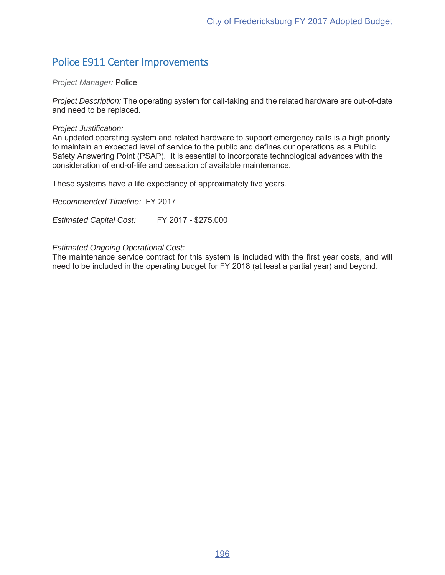# Police E911 Center Improvements

### **Project Manager: Police**

*Project Description:* The operating system for call-taking and the related hardware are out-of-date and need to be replaced.

### *Project Justification:*

An updated operating system and related hardware to support emergency calls is a high priority to maintain an expected level of service to the public and defines our operations as a Public Safety Answering Point (PSAP). It is essential to incorporate technological advances with the consideration of end-of-life and cessation of available maintenance.

These systems have a life expectancy of approximately five years.

**Recommended Timeline: FY 2017** 

Estimated Capital Cost: FY 2017 - \$275,000

### *Estimated Ongoing Operational Cost:*

The maintenance service contract for this system is included with the first year costs, and will need to be included in the operating budget for FY 2018 (at least a partial year) and beyond.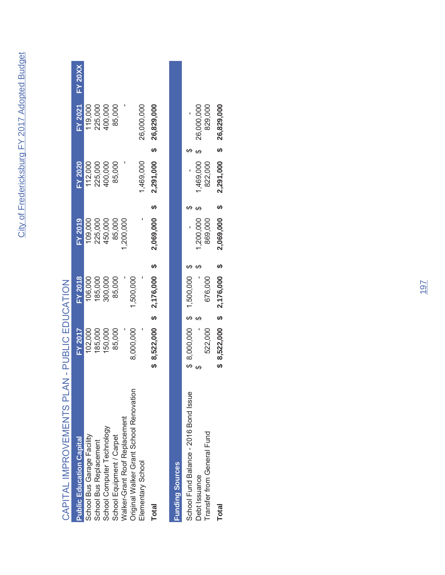$\overline{\mathbf{x}}$ 

| <b>NUMBER IN THE INDUSTRIAL PROPERTY OF PERSONS IN THE INCLUSION WAS ARRESTED FOR THE INTERNATIONAL PROPERTY.</b> |                         |                |                |                         |                |           |
|-------------------------------------------------------------------------------------------------------------------|-------------------------|----------------|----------------|-------------------------|----------------|-----------|
| <b>Public Education Capital</b>                                                                                   | <b>FY 2017</b>          | <b>FY 2018</b> | <b>FY 2019</b> | <b>FY 2020</b>          | <b>FY 2021</b> | $FY$ 20XX |
| School Bus Garage Facility                                                                                        | 102,000                 | 106,000        | 109,000        | 112,000                 | 119,000        |           |
| School Bus Replacement                                                                                            | 185,000                 | 185,000        | 225,000        | 225,000                 | 225,000        |           |
| School Computer Technology                                                                                        | 150,000                 | 300,000        | 450,000        | 400,000                 | 400,000        |           |
| School Equipment / Carpet                                                                                         | 85,000                  | 85,000         | 85,000         | 85,000                  | 85,000         |           |
| Walker-Grant Roof Replacement                                                                                     |                         |                | ,200,000       |                         |                |           |
| Original Walker Grant School Renovation                                                                           | 8,000,000               | ,500,000       |                |                         |                |           |
| Elementary School                                                                                                 |                         |                |                | 1,469,000               | 26,000,000     |           |
| <b>Total</b>                                                                                                      | \$8,522,000             | 2,176,000      | 2,069,000      | 2,291,000               | 26,829,000     |           |
| <b>Funding Sources</b>                                                                                            |                         |                |                |                         |                |           |
| School Fund Balance - 2016 Bond Issue                                                                             |                         |                |                |                         |                |           |
| Debt Issuance                                                                                                     |                         |                | 1,200,000      | 1,469,000               | 26,000,000     |           |
| Transfer from General Fund                                                                                        | 522,000                 | 676,000        | 869,000        | 822,000                 | 829,000        |           |
| <b>Total</b>                                                                                                      | \$8,522,000 \$2,176,000 |                | 2,069,000      | 2,291,000 \$ 26,829,000 |                |           |

# CAPITAL IMPROVEMENTS PLAN - PUBLIC EDUCATION CAPITAL IMPROVEMENTS PLAN - PUBLIC EDUCATION

| <b>Sayman Allian Sayman</b>           |              |             |           |           |                         |  |
|---------------------------------------|--------------|-------------|-----------|-----------|-------------------------|--|
| School Fund Balance - 2016 Bond Issue | 8,000,000 \$ | 1,500,000   |           |           |                         |  |
| Debt Issuance                         |              |             | 1,200,000 | 1,469,000 | 26,000,000              |  |
| Transfer from General Fund            | 522,000      | 676,000     | 869,000   | 822,000   | 829,000                 |  |
| <b>Total</b>                          | 8,522,000    | \$2,176,000 | 2,069,000 |           | 2,291,000 \$ 26,829,000 |  |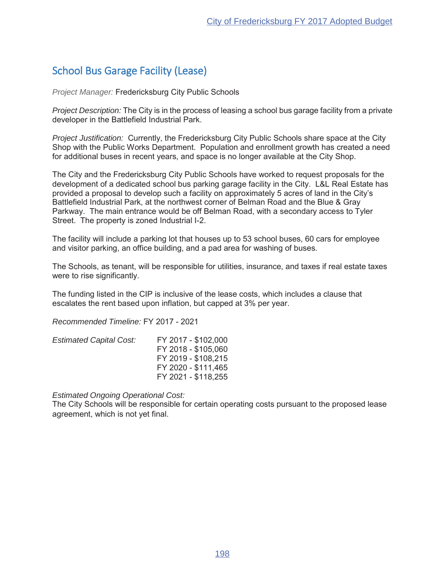# School Bus Garage Facility (Lease)

*Project Manager:* Fredericksburg City Public Schools

*Project Description:* The City is in the process of leasing a school bus garage facility from a private developer in the Battlefield Industrial Park.

*Project Justification:* Currently, the Fredericksburg City Public Schools share space at the City Shop with the Public Works Department. Population and enrollment growth has created a need for additional buses in recent years, and space is no longer available at the City Shop.

The City and the Fredericksburg City Public Schools have worked to request proposals for the development of a dedicated school bus parking garage facility in the City. L&L Real Estate has provided a proposal to develop such a facility on approximately 5 acres of land in the City's Battlefield Industrial Park, at the northwest corner of Belman Road and the Blue & Gray Parkway. The main entrance would be off Belman Road, with a secondary access to Tyler Street. The property is zoned Industrial I-2.

The facility will include a parking lot that houses up to 53 school buses, 60 cars for employee and visitor parking, an office building, and a pad area for washing of buses.

The Schools, as tenant, will be responsible for utilities, insurance, and taxes if real estate taxes were to rise significantly.

The funding listed in the CIP is inclusive of the lease costs, which includes a clause that escalates the rent based upon inflation, but capped at 3% per year.

**Recommended Timeline: FY 2017 - 2021** 

| <b>Estimated Capital Cost:</b> | FY 2017 - \$102,000 |
|--------------------------------|---------------------|
|                                | FY 2018 - \$105,060 |
|                                | FY 2019 - \$108,215 |
|                                | FY 2020 - \$111.465 |
|                                | FY 2021 - \$118,255 |

*Estimated Ongoing Operational Cost:*

The City Schools will be responsible for certain operating costs pursuant to the proposed lease agreement, which is not yet final.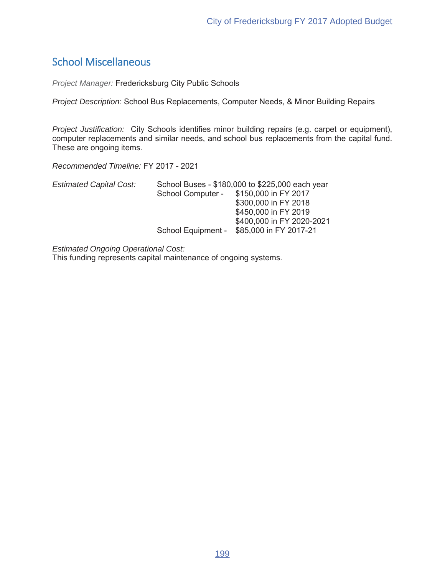# School Miscellaneous

**Project Manager: Fredericksburg City Public Schools** 

*Project Description: School Bus Replacements, Computer Needs, & Minor Building Repairs* 

*Project Justification:* City Schools identifies minor building repairs (e.g. carpet or equipment), computer replacements and similar needs, and school bus replacements from the capital fund. These are ongoing items.

Recommended Timeline: FY 2017 - 2021

| <b>Estimated Capital Cost:</b> |                   | School Buses - \$180,000 to \$225,000 each year |
|--------------------------------|-------------------|-------------------------------------------------|
|                                | School Computer - | \$150,000 in FY 2017                            |
|                                |                   | \$300,000 in FY 2018                            |
|                                |                   | \$450,000 in FY 2019                            |
|                                |                   | \$400,000 in FY 2020-2021                       |
|                                |                   | School Equipment - \$85,000 in FY 2017-21       |

*Estimated Ongoing Operational Cost:*

This funding represents capital maintenance of ongoing systems.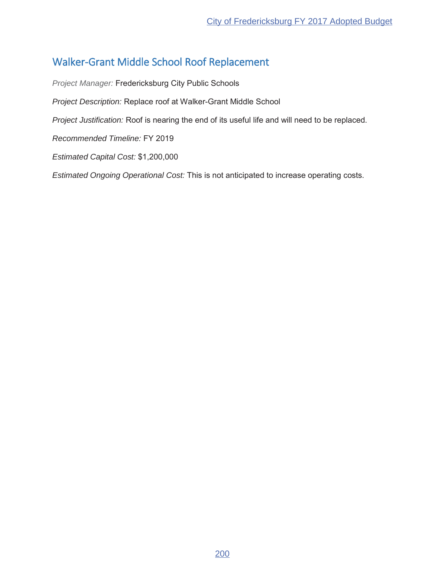# Walker-Grant Middle School Roof Replacement

*Project Manager:* Fredericksburg City Public Schools *Project Description:* Replace roof at Walker-Grant Middle School *Project Justification:* Roof is nearing the end of its useful life and will need to be replaced. **Recommended Timeline: FY 2019** *Estimated Capital Cost: Estimated Ongoing Operational Cost:* This is not anticipated to increase operating costs.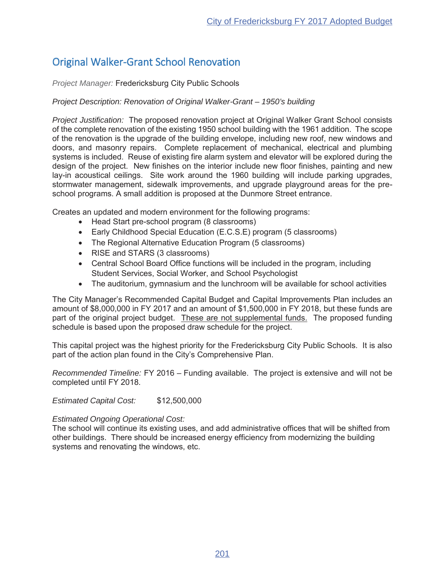# Original Walker-Grant School Renovation

# **Project Manager: Fredericksburg City Public Schools**

# *Project Description: Renovation of Original Walker-Grant – 1950's building*

*Project Justification:* The proposed renovation project at Original Walker Grant School consists of the complete renovation of the existing 1950 school building with the 1961 addition. The scope of the renovation is the upgrade of the building envelope, including new roof, new windows and doors, and masonry repairs. Complete replacement of mechanical, electrical and plumbing systems is included. Reuse of existing fire alarm system and elevator will be explored during the design of the project. New finishes on the interior include new floor finishes, painting and new lay-in acoustical ceilings. Site work around the 1960 building will include parking upgrades, stormwater management, sidewalk improvements, and upgrade playground areas for the preschool programs. A small addition is proposed at the Dunmore Street entrance.

Creates an updated and modern environment for the following programs:

- Head Start pre-school program (8 classrooms)
- Early Childhood Special Education (E.C.S.E) program (5 classrooms)
- The Regional Alternative Education Program (5 classrooms)
- RISE and STARS (3 classrooms)
- Central School Board Office functions will be included in the program, including Student Services, Social Worker, and School Psychologist
- The auditorium, gymnasium and the lunchroom will be available for school activities

The City Manager's Recommended Capital Budget and Capital Improvements Plan includes an amount of  $$8,000,000$  in FY 2017 and an amount of  $$1,500,000$  in FY 2018, but these funds are part of the original project budget. These are not supplemental funds. The proposed funding schedule is based upon the proposed draw schedule for the project.

This capital project was the highest priority for the Fredericksburg City Public Schools. It is also part of the action plan found in the City's Comprehensive Plan.

*Recommended Timeline:* FY 2016 – Funding available. The project is extensive and will not be completed until FY 2018.

*Estimated Capital Cost:*

### *Estimated Ongoing Operational Cost:*

The school will continue its existing uses, and add administrative offices that will be shifted from other buildings. There should be increased energy efficiency from modernizing the building systems and renovating the windows, etc.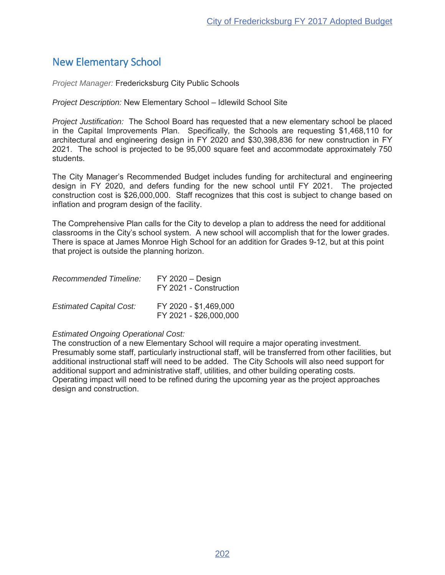# New Elementary School

**Project Manager: Fredericksburg City Public Schools** 

*Project Description:* New Elementary School - Idlewild School Site

*Project Justification:* The School Board has requested that a new elementary school be placed in the Capital Improvements Plan. Specifically, the Schools are requesting \$1,468,110 for architectural and engineering design in FY 2020 and \$30,398,836 for new construction in FY 2021. The school is projected to be 95,000 square feet and accommodate approximately 750 students.

The City Manager's Recommended Budget includes funding for architectural and engineering design in FY 2020, and defers funding for the new school until FY 2021. The projected construction cost is \$26,000,000. Staff recognizes that this cost is subject to change based on inflation and program design of the facility.

The Comprehensive Plan calls for the City to develop a plan to address the need for additional classrooms in the City's school system. A new school will accomplish that for the lower grades. There is space at James Monroe High School for an addition for Grades 9-12, but at this point that project is outside the planning horizon.

| <b>Recommended Timeline:</b>   | $FY$ 2020 $-$ Design<br>FY 2021 - Construction  |
|--------------------------------|-------------------------------------------------|
| <b>Estimated Capital Cost:</b> | FY 2020 - \$1,469,000<br>FY 2021 - \$26,000,000 |

### *Estimated Ongoing Operational Cost:*

The construction of a new Elementary School will require a major operating investment. Presumably some staff, particularly instructional staff, will be transferred from other facilities, but additional instructional staff will need to be added. The City Schools will also need support for additional support and administrative staff, utilities, and other building operating costs. Operating impact will need to be refined during the upcoming year as the project approaches design and construction.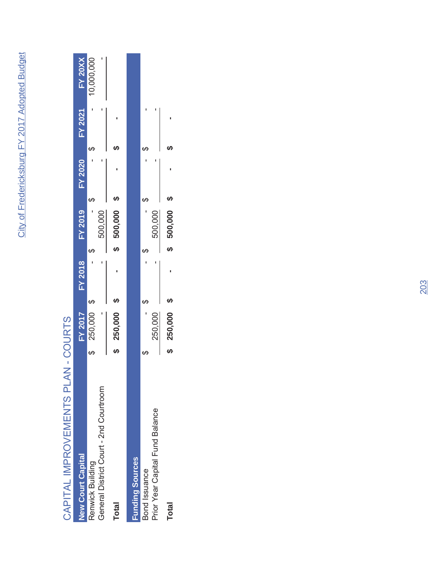| ֧֖֖֚֚֚֚֚֚֚֚֚֚֚֚֚֚֚֚֚֚֝֝<br>֧֪֖֧֖֪֪֖֧֖֧֪֖֧֪֖֧֧֧֧֧֧֚֚֚֚֚֚֚֚֚֚֚֚֚֝֝֝֝֝֝֬֝֝֝֝֬֝֬֝֬֝֬֝֬֝֬֝֬֝֬֝֬֝֬֝֬֝ |
|-------------------------------------------------------------------------------------------------|
|                                                                                                 |
|                                                                                                 |
|                                                                                                 |
|                                                                                                 |
|                                                                                                 |
|                                                                                                 |
|                                                                                                 |
|                                                                                                 |
|                                                                                                 |
| ١                                                                                               |
|                                                                                                 |
|                                                                                                 |
| ĺ                                                                                               |
|                                                                                                 |
|                                                                                                 |
|                                                                                                 |
|                                                                                                 |

| <b>New Court Capital</b>                                   | <b>FY 2017</b> | FY 2018 |   | <b>FY 2019</b> | <b>FY 2020</b> | FY 2021 | <b>FY 20XX</b> |
|------------------------------------------------------------|----------------|---------|---|----------------|----------------|---------|----------------|
| General District Court - 2nd Courtroom<br>Renwick Building | 250,000        |         |   | 500,000        |                |         | 10,000,000     |
| <b>Total</b>                                               | 250,000        |         |   | 500,000        |                |         |                |
| <b>Funding Sources</b>                                     |                |         |   |                |                |         |                |
| Prior Year Capital Fund Balance<br>Bond Issuance           | 250,00C        |         | ഗ | 500,000        |                |         |                |
| <b>Total</b>                                               | 250,000        |         |   | 500,000        |                |         |                |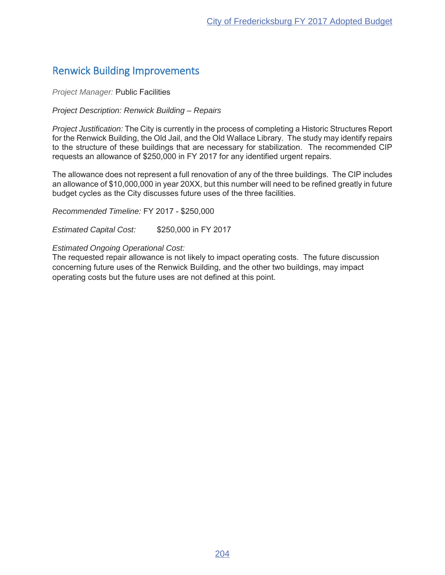# Renwick Building Improvements

### **Project Manager: Public Facilities**

### *Project Description: Renwick Building – Repairs*

*Project Justification:* The City is currently in the process of completing a Historic Structures Report for the Renwick Building, the Old Jail, and the Old Wallace Library. The study may identify repairs to the structure of these buildings that are necessary for stabilization. The recommended CIP requests an allowance of \$250,000 in FY 2017 for any identified urgent repairs.

The allowance does not represent a full renovation of any of the three buildings. The CIP includes an allowance of \$10,000,000 in year 20XX, but this number will need to be refined greatly in future budget cycles as the City discusses future uses of the three facilities.

*Recommended Timeline: FY 2017 - \$250,000* 

**Estimated Capital Cost:** \$250,000 in FY 2017

### *Estimated Ongoing Operational Cost:*

The requested repair allowance is not likely to impact operating costs. The future discussion concerning future uses of the Renwick Building, and the other two buildings, may impact operating costs but the future uses are not defined at this point.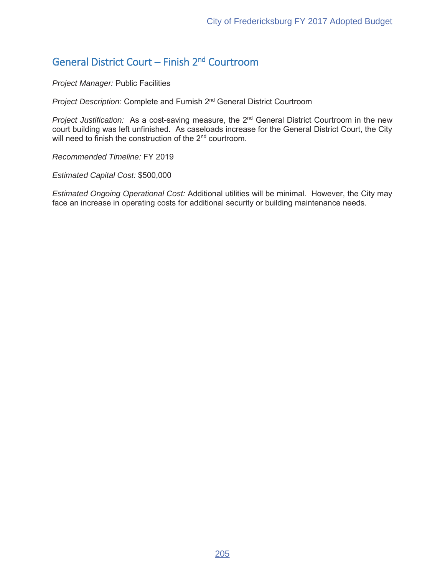# General District Court – Finish 2nd Courtroom

*Project Manager:* Public Facilities

*Project Description:* Complete and Furnish 2<sup>nd</sup> General District Courtroom

*Project Justification:* As a cost-saving measure, the 2<sup>nd</sup> General District Courtroom in the new court building was left unfinished. As caseloads increase for the General District Court, the City will need to finish the construction of the 2<sup>nd</sup> courtroom.

**Recommended Timeline: FY 2019** 

*Estimated Capital Cost:*

*Estimated Ongoing Operational Cost:* Additional utilities will be minimal. However, the City may face an increase in operating costs for additional security or building maintenance needs.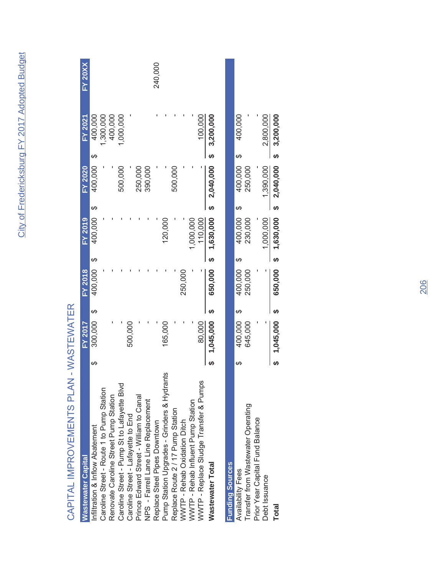| ſ                              |
|--------------------------------|
| ١                              |
| $\frac{1}{2}$                  |
|                                |
|                                |
|                                |
| ì<br>à                         |
| Ì<br>í                         |
| Į                              |
| d<br>$\ddot{\phantom{a}}$<br>Ò |

| <b>Wastewater Capital</b>                   |    | <b>FY 2017</b> |   | <b>FY 2018</b> |    | $FY$ 2019   |    | <b>FY 2020</b> |    | <b>FY 2021</b> | <b>FY 20XX</b> |
|---------------------------------------------|----|----------------|---|----------------|----|-------------|----|----------------|----|----------------|----------------|
| Infiltration & Inflow Abatement             | ക  | 300,000        | ↔ | 400,000        | ക  | 400,000     | ↔  | 400,000        | ക  | 400,000        |                |
| Caroline Street - Route 1 to Pump Station   |    |                |   |                |    |             |    |                |    | 1,300,000      |                |
| Renovate Caroline Street Pump Station       |    |                |   |                |    |             |    |                |    | 400,000        |                |
| Caroline Street - Pump St to Lafayette Blvd |    |                |   |                |    |             |    | 500,000        |    | 1,000,000      |                |
| Caroline Street - Lafayette to End          |    | 500,000        |   |                |    |             |    |                |    |                |                |
| Prince Edward Street - William to Canal     |    |                |   |                |    |             |    | 250,000        |    |                |                |
| NPS - Farrell Lane Line Replacement         |    |                |   |                |    |             |    | 390,000        |    |                |                |
| Replace Steel Pipes Downtown                |    |                |   |                |    |             |    |                |    |                | 240,000        |
| Pump Station Upgrades - Grinders & Hydrants |    | 165,000        |   |                |    | 120,000     |    |                |    |                |                |
| Replace Route 2 / 17 Pump Station           |    |                |   |                |    |             |    | 500,000        |    |                |                |
| WWTP - Rehab Oxidation Ditch                |    |                |   | 250,000        |    |             |    |                |    |                |                |
| WWTP - Rehab Influent Pump Station          |    |                |   |                |    | 1,000,000   |    |                |    |                |                |
| WWTP - Replace Sludge Transfer & Pumps      |    | 80,000         |   |                |    | 110,000     |    |                |    | 100,000        |                |
| <b>Wastewater Total</b>                     |    | 1,045,000      |   | 650,000        |    | \$1,630,000 |    | \$2,040,000    |    | 3,200,000      |                |
| <b>Funding Sources</b>                      |    |                |   |                |    |             |    |                |    |                |                |
| Availability Fees                           | ക  | 400,000        | ↔ | 400,000        | ക  | 400,000     | ↔  | 400,000        | ക  | 400,000        |                |
| Transfer from Wastewater Operating          |    | 645,000        |   | 250,000        |    | 230,000     |    | 250,000        |    |                |                |
| Prior Year Capital Fund Balance             |    |                |   |                |    |             |    |                |    |                |                |
| Debt Issuance                               |    |                |   |                |    | 1,000,000   |    | 1,390,000      |    | 2,800,000      |                |
| Total                                       | မာ | 1,045,000      |   | 650,000        | မာ | 1,630,000   | မာ | 2,040,000      | မာ | 3,200,000      |                |

# CAPITAL IMPROVEMENTS PLAN - WASTEWATER CAPITAL IMPROVENTS PLAN - WASTEWATER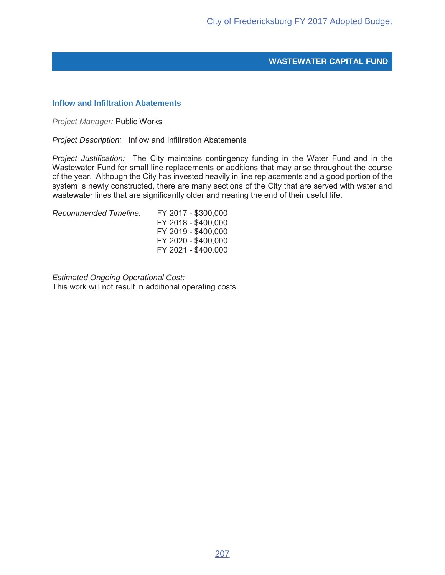### **Inflow and Infiltration Abatements**

*Project Manager:* Public Works

*Project Description:* Inflow and Infiltration Abatements

*Project Justification:* The City maintains contingency funding in the Water Fund and in the Wastewater Fund for small line replacements or additions that may arise throughout the course of the year. Although the City has invested heavily in line replacements and a good portion of the system is newly constructed, there are many sections of the City that are served with water and wastewater lines that are significantly older and nearing the end of their useful life.

Recommended Timeline: FY 2017 - \$300,000

FY 2018 - \$400,000 FY 2019 - \$400,000 FY 2020 - \$400,000 FY 2021 - \$400,000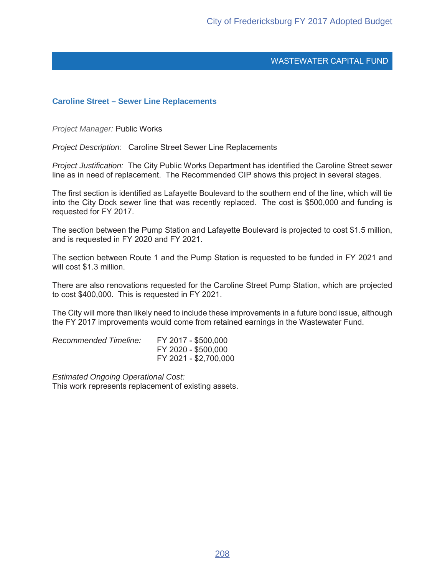### **Caroline Street – Sewer Line Replacements**

*Project Manager:* Public Works

*Project Description:* Caroline Street Sewer Line Replacements

*Project Justification:* The City Public Works Department has identified the Caroline Street sewer line as in need of replacement. The Recommended CIP shows this project in several stages.

The first section is identified as Lafayette Boulevard to the southern end of the line, which will tie into the City Dock sewer line that was recently replaced. The cost is \$500,000 and funding is requested for FY 2017.

The section between the Pump Station and Lafayette Boulevard is projected to cost \$1.5 million, and is requested in FY 2020 and FY 2021.

The section between Route 1 and the Pump Station is requested to be funded in FY 2021 and will cost \$1.3 million.

There are also renovations requested for the Caroline Street Pump Station, which are projected to cost \$400,000. This is requested in FY 2021.

The City will more than likely need to include these improvements in a future bond issue, although the FY 2017 improvements would come from retained earnings in the Wastewater Fund.

| Recommended Timeline: | FY 2017 - \$500,000   |
|-----------------------|-----------------------|
|                       | FY 2020 - \$500,000   |
|                       | FY 2021 - \$2,700,000 |

*Estimated Ongoing Operational Cost:* This work represents replacement of existing assets.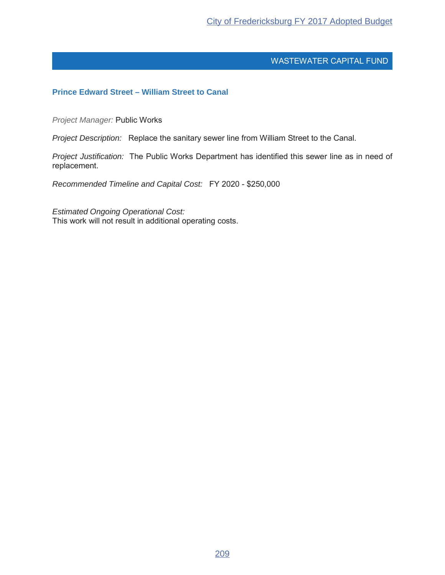# **Prince Edward Street – William Street to Canal**

*Project Manager:* Public Works

*Project Description:* Replace the sanitary sewer line from William Street to the Canal.

*Project Justification:* The Public Works Department has identified this sewer line as in need of replacement.

*Recommended Timeline and Capital Cost:* FY 2020 - \$250,000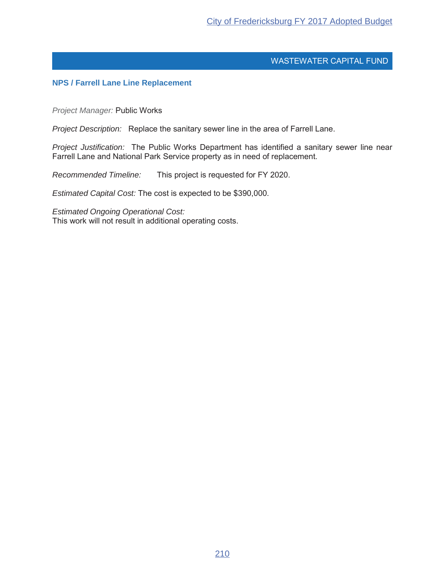### **NPS / Farrell Lane Line Replacement**

*Project Manager:* Public Works

*Project Description:* Replace the sanitary sewer line in the area of Farrell Lane.

*Project Justification:* The Public Works Department has identified a sanitary sewer line near Farrell Lane and National Park Service property as in need of replacement.

*Recommended Timeline:* This project is requested for FY 2020.

*Estimated Capital Cost:* The cost is expected to be \$390,000.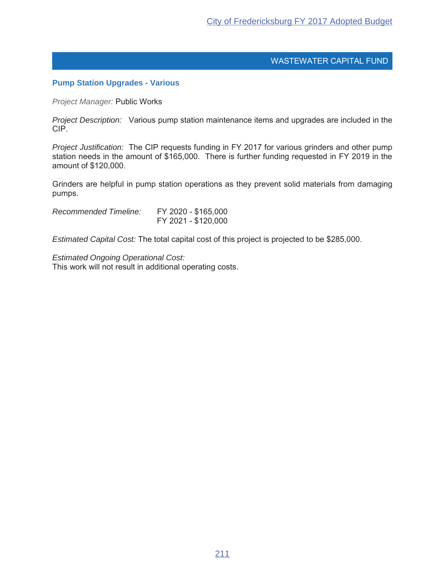### **Pump Station Upgrades - Various**

*Project Manager:* Public Works

*Project Description:* Various pump station maintenance items and upgrades are included in the CIP.

*Project Justification:* The CIP requests funding in FY 2017 for various grinders and other pump station needs in the amount of \$165,000. There is further funding requested in FY 2019 in the amount of \$120,000.

Grinders are helpful in pump station operations as they prevent solid materials from damaging pumps.

Recommended Timeline: FY 2020 - \$165,000 FY 2021 - \$120,000

*Estimated Capital Cost:* The total capital cost of this project is projected to be \$285,000.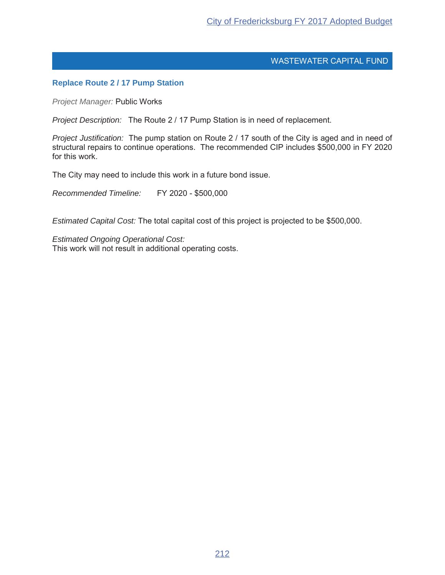# **Replace Route 2 / 17 Pump Station**

*Project Manager:* Public Works

*Project Description:* The Route 2 / 17 Pump Station is in need of replacement.

*Project Justification:* The pump station on Route 2 / 17 south of the City is aged and in need of structural repairs to continue operations. The recommended CIP includes \$500,000 in FY 2020 for this work.

The City may need to include this work in a future bond issue.

Recommended Timeline: FY 2020 - \$500,000

*Estimated Capital Cost:* The total capital cost of this project is projected to be \$500,000.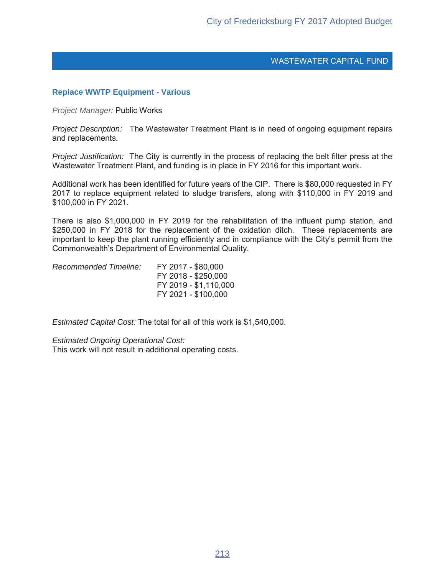### **Replace WWTP Equipment - Various**

*Project Manager:* **Public Works** 

*Project Description:* The Wastewater Treatment Plant is in need of ongoing equipment repairs and replacements.

*Project Justification:* The City is currently in the process of replacing the belt filter press at the Wastewater Treatment Plant, and funding is in place in FY 2016 for this important work.

Additional work has been identified for future years of the CIP. There is \$80,000 requested in FY 2017 to replace equipment related to sludge transfers, along with \$110,000 in FY 2019 and \$100,000 in FY 2021.

There is also \$1,000,000 in FY 2019 for the rehabilitation of the influent pump station, and \$250,000 in FY 2018 for the replacement of the oxidation ditch. These replacements are important to keep the plant running efficiently and in compliance with the City's permit from the Commonwealth's Department of Environmental Quality.

| Recommended Timeline: | FY 2017 - \$80,000    |
|-----------------------|-----------------------|
|                       | FY 2018 - \$250,000   |
|                       | FY 2019 - \$1,110,000 |
|                       | FY 2021 - \$100,000   |

*Estimated Capital Cost:* The total for all of this work is \$1,540,000.

*Estimated Ongoing Operational Cost:*

This work will not result in additional operating costs.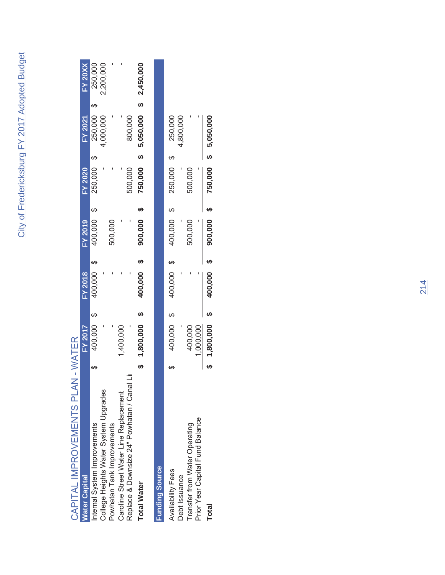| j                                                                 |
|-------------------------------------------------------------------|
|                                                                   |
|                                                                   |
|                                                                   |
|                                                                   |
| ֧ׅׅׅ֧ׅ֧ׅ֧֧ׅ֧֧֧֚֚֚֚֚֚֚֚֚֚֚֚֚֚֚֚֚֚֚֚֚֚֚֚֚֚֚֚֚֬֝֟֡֝֡֓֝֜֓֝֬֜֝֓֝֬<br>ĺ |
|                                                                   |
|                                                                   |
|                                                                   |
|                                                                   |
|                                                                   |
|                                                                   |
|                                                                   |
|                                                                   |
| J                                                                 |
| J                                                                 |
|                                                                   |
|                                                                   |

| <b>Nater Capital</b>                         | <b>-7 2017</b> | <b>FY 2018</b> | <b>FY 2019</b> | <b>FY 2020</b> | <b>FY 2021</b> | $FY$ 20XX |
|----------------------------------------------|----------------|----------------|----------------|----------------|----------------|-----------|
| nternal System Improvements                  | 400,000        | 400,000        | 400,000        | 250,000        | 250,000        | 250,000   |
| College Heights Water System Upgrades        |                |                |                |                | 1,000,000      | 2,200,000 |
| Powhatan Tank Improvements                   |                |                | 500,000        |                |                |           |
| Caroline Street Water Line Replacement       | ,400,000       |                |                |                |                |           |
| ⋾<br>Replace & Downsize 24" Powhatan / Canal |                |                |                | 500,000        | 800,000        |           |
| <b>Total Water</b>                           | 1,800,000      | 400,000        | 900,000        | 750,000        | 5,050,000      | 2,450,000 |
|                                              |                |                |                |                |                |           |

| <b>Funding Source</b>           |           |    |         |         |         |                |
|---------------------------------|-----------|----|---------|---------|---------|----------------|
| <b>Availability Fees</b>        | 400,000   | မာ | 400,000 | 400,000 | 250,000 | <b>250,000</b> |
| Debt Issuance                   |           |    |         |         |         | ,800,000       |
| Transfer from Water Operating   | 400,000   |    |         | 500,000 | 500,000 |                |
| Prior Year Capital Fund Balance | 1,000,000 |    |         |         |         |                |
| Total                           | 1,800,000 |    | 400,000 | 900,000 | 750,000 | 5,050,000      |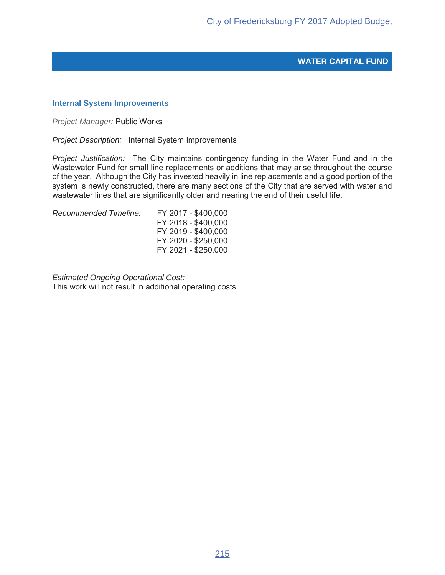# **WATER CAPITAL FUND**

### **Internal System Improvements**

*Project Manager:* Public Works

*Project Description:* Internal System Improvements

*Project Justification:* The City maintains contingency funding in the Water Fund and in the Wastewater Fund for small line replacements or additions that may arise throughout the course of the year. Although the City has invested heavily in line replacements and a good portion of the system is newly constructed, there are many sections of the City that are served with water and wastewater lines that are significantly older and nearing the end of their useful life.

Recommended Timeline: FY 2017 - \$400,000

FY 2018 - \$400,000 FY 2019 - \$400,000 FY 2020 - \$250,000 FY 2021 - \$250,000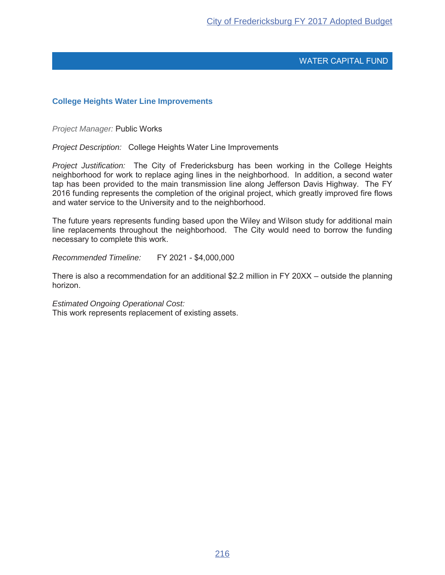## **College Heights Water Line Improvements**

**Project Manager: Public Works** 

*Project Description:* College Heights Water Line Improvements

*Project Justification:* The City of Fredericksburg has been working in the College Heights neighborhood for work to replace aging lines in the neighborhood. In addition, a second water tap has been provided to the main transmission line along Jefferson Davis Highway. The FY 2016 funding represents the completion of the original project, which greatly improved fire flows and water service to the University and to the neighborhood.

The future years represents funding based upon the Wiley and Wilson study for additional main line replacements throughout the neighborhood. The City would need to borrow the funding necessary to complete this work.

*Recommended Timeline:* FY 2021 - \$4,000,000

There is also a recommendation for an additional \$2.2 million in FY 20XX – outside the planning horizon.

*Estimated Ongoing Operational Cost:*

This work represents replacement of existing assets.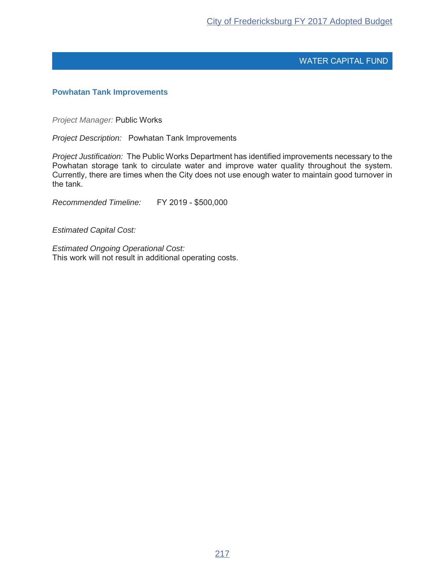## **Powhatan Tank Improvements**

*Project Manager:* Public Works

*Project Description:* Powhatan Tank Improvements

*Project Justification:* The Public Works Department has identified improvements necessary to the Powhatan storage tank to circulate water and improve water quality throughout the system. Currently, there are times when the City does not use enough water to maintain good turnover in the tank.

Recommended Timeline: FY 2019 - \$500,000

*Estimated Capital Cost:*

*Estimated Ongoing Operational Cost:* This work will not result in additional operating costs.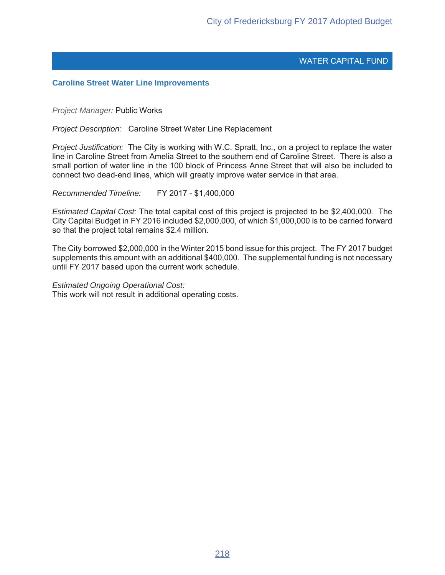#### **Caroline Street Water Line Improvements**

**Project Manager: Public Works** 

*Project Description:* Caroline Street Water Line Replacement

*Project Justification:* The City is working with W.C. Spratt, Inc., on a project to replace the water line in Caroline Street from Amelia Street to the southern end of Caroline Street. There is also a small portion of water line in the 100 block of Princess Anne Street that will also be included to connect two dead-end lines, which will greatly improve water service in that area.

*Recommended Timeline:* FY 2017 - \$1,400,000

*Estimated Capital Cost:* The total capital cost of this project is projected to be \$2,400,000. The City Capital Budget in FY 2016 included \$2,000,000, of which \$1,000,000 is to be carried forward so that the project total remains \$2.4 million.

The City borrowed \$2,000,000 in the Winter 2015 bond issue for this project. The FY 2017 budget supplements this amount with an additional \$400,000. The supplemental funding is not necessary until FY 2017 based upon the current work schedule.

#### *Estimated Ongoing Operational Cost:*

This work will not result in additional operating costs.